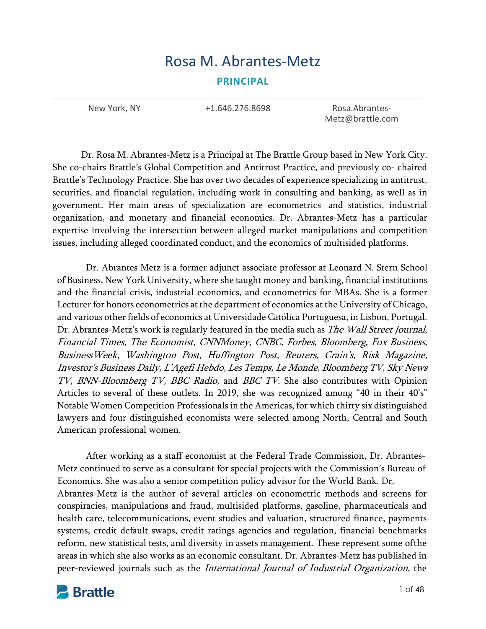# Rosa M. Abrantes‐Metz **PRINCIPAL**

New York, NY **+1.646.276.8698** Rosa.Abrantes-

Metz@brattle.com

Dr. Rosa M. Abrantes-Metz is a Principal at The Brattle Group based in New York City. She co-chairs Brattle's Global Competition and Antitrust Practice, and previously co- chaired Brattle's Technology Practice. She has over two decades of experience specializing in antitrust, securities, and financial regulation, including work in consulting and banking, as well as in government. Her main areas of specialization are econometrics and statistics, industrial organization, and monetary and financial economics. Dr. Abrantes-Metz has a particular expertise involving the intersection between alleged market manipulations and competition issues, including alleged coordinated conduct, and the economics of multisided platforms.

Dr. Abrantes Metz is a former adjunct associate professor at Leonard N. Stern School of Business, New York University, where she taught money and banking, financial institutions and the financial crisis, industrial economics, and econometrics for MBAs. She is a former Lecturer for honors econometrics at the department of economics at the University of Chicago, and various other fields of economics at Universidade Católica Portuguesa, in Lisbon, Portugal. Dr. Abrantes-Metz's work is regularly featured in the media such as *The Wall Street Journal*, Financial Times, The Economist, CNNMoney, CNBC, Forbes, Bloomberg, Fox Business, BusinessWeek, Washington Post, Huffington Post, Reuters, Crain's, Risk Magazine, Investor's Business Daily, L'Agefi Hebdo, Les Temps, Le Monde, Bloomberg TV, Sky News TV, BNN-Bloomberg TV, BBC Radio, and BBC TV. She also contributes with Opinion Articles to several of these outlets. In 2019, she was recognized among "40 in their 40's" Notable Women Competition Professionals in the Americas, for which thirty six distinguished lawyers and four distinguished economists were selected among North, Central and South American professional women.

After working as a staff economist at the Federal Trade Commission, Dr. Abrantes-Metz continued to serve as a consultant for special projects with the Commission's Bureau of Economics. She was also a senior competition policy advisor for the World Bank. Dr.

Abrantes-Metz is the author of several articles on econometric methods and screens for conspiracies, manipulations and fraud, multisided platforms, gasoline, pharmaceuticals and health care, telecommunications, event studies and valuation, structured finance, payments systems, credit default swaps, credit ratings agencies and regulation, financial benchmarks reform, new statistical tests, and diversity in assets management. These represent some of the areas in which she also works as an economic consultant. Dr. Abrantes-Metz has published in peer-reviewed journals such as the International Journal of Industrial Organization, the

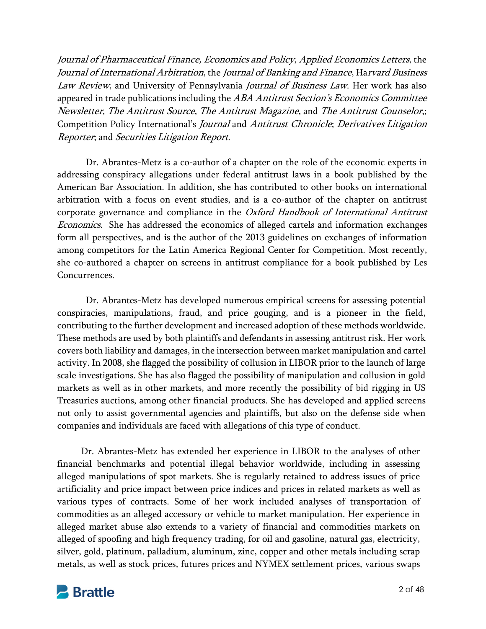Journal of Pharmaceutical Finance, Economics and Policy, Applied Economics Letters, the Journal of International Arbitration, the Journal of Banking and Finance, Harvard Business Law Review, and University of Pennsylvania Journal of Business Law. Her work has also appeared in trade publications including the ABA Antitrust Section's Economics Committee Newsletter, The Antitrust Source, The Antitrust Magazine, and The Antitrust Counselor,; Competition Policy International's Journal and Antitrust Chronicle; Derivatives Litigation Reporter; and Securities Litigation Report.

Dr. Abrantes-Metz is a co-author of a chapter on the role of the economic experts in addressing conspiracy allegations under federal antitrust laws in a book published by the American Bar Association. In addition, she has contributed to other books on international arbitration with a focus on event studies, and is a co-author of the chapter on antitrust corporate governance and compliance in the Oxford Handbook of International Antitrust Economics. She has addressed the economics of alleged cartels and information exchanges form all perspectives, and is the author of the 2013 guidelines on exchanges of information among competitors for the Latin America Regional Center for Competition. Most recently, she co-authored a chapter on screens in antitrust compliance for a book published by Les Concurrences.

Dr. Abrantes-Metz has developed numerous empirical screens for assessing potential conspiracies, manipulations, fraud, and price gouging, and is a pioneer in the field, contributing to the further development and increased adoption of these methods worldwide. These methods are used by both plaintiffs and defendants in assessing antitrust risk. Her work covers both liability and damages, in the intersection between market manipulation and cartel activity. In 2008, she flagged the possibility of collusion in LIBOR prior to the launch of large scale investigations. She has also flagged the possibility of manipulation and collusion in gold markets as well as in other markets, and more recently the possibility of bid rigging in US Treasuries auctions, among other financial products. She has developed and applied screens not only to assist governmental agencies and plaintiffs, but also on the defense side when companies and individuals are faced with allegations of this type of conduct.

Dr. Abrantes-Metz has extended her experience in LIBOR to the analyses of other financial benchmarks and potential illegal behavior worldwide, including in assessing alleged manipulations of spot markets. She is regularly retained to address issues of price artificiality and price impact between price indices and prices in related markets as well as various types of contracts. Some of her work included analyses of transportation of commodities as an alleged accessory or vehicle to market manipulation. Her experience in alleged market abuse also extends to a variety of financial and commodities markets on alleged of spoofing and high frequency trading, for oil and gasoline, natural gas, electricity, silver, gold, platinum, palladium, aluminum, zinc, copper and other metals including scrap metals, as well as stock prices, futures prices and NYMEX settlement prices, various swaps

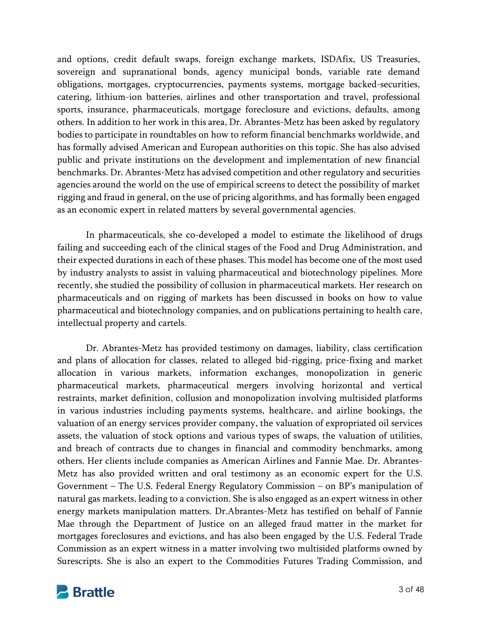and options, credit default swaps, foreign exchange markets, ISDAfix, US Treasuries, sovereign and supranational bonds, agency municipal bonds, variable rate demand obligations, mortgages, cryptocurrencies, payments systems, mortgage backed-securities, catering, lithium-ion batteries, airlines and other transportation and travel, professional sports, insurance, pharmaceuticals, mortgage foreclosure and evictions, defaults, among others. In addition to her work in this area, Dr. Abrantes-Metz has been asked by regulatory bodies to participate in roundtables on how to reform financial benchmarks worldwide, and has formally advised American and European authorities on this topic. She has also advised public and private institutions on the development and implementation of new financial benchmarks. Dr. Abrantes-Metz has advised competition and other regulatory and securities agencies around the world on the use of empirical screens to detect the possibility of market rigging and fraud in general, on the use of pricing algorithms, and has formally been engaged as an economic expert in related matters by several governmental agencies.

In pharmaceuticals, she co-developed a model to estimate the likelihood of drugs failing and succeeding each of the clinical stages of the Food and Drug Administration, and their expected durations in each of these phases. This model has become one of the most used by industry analysts to assist in valuing pharmaceutical and biotechnology pipelines. More recently, she studied the possibility of collusion in pharmaceutical markets. Her research on pharmaceuticals and on rigging of markets has been discussed in books on how to value pharmaceutical and biotechnology companies, and on publications pertaining to health care, intellectual property and cartels.

Dr. Abrantes-Metz has provided testimony on damages, liability, class certification and plans of allocation for classes, related to alleged bid-rigging, price-fixing and market allocation in various markets, information exchanges, monopolization in generic pharmaceutical markets, pharmaceutical mergers involving horizontal and vertical restraints, market definition, collusion and monopolization involving multisided platforms in various industries including payments systems, healthcare, and airline bookings, the valuation of an energy services provider company, the valuation of expropriated oil services assets, the valuation of stock options and various types of swaps, the valuation of utilities, and breach of contracts due to changes in financial and commodity benchmarks, among others. Her clients include companies as American Airlines and Fannie Mae. Dr. Abrantes-Metz has also provided written and oral testimony as an economic expert for the U.S. Government – The U.S. Federal Energy Regulatory Commission – on BP's manipulation of natural gas markets, leading to a conviction. She is also engaged as an expert witness in other energy markets manipulation matters. Dr.Abrantes-Metz has testified on behalf of Fannie Mae through the Department of Justice on an alleged fraud matter in the market for mortgages foreclosures and evictions, and has also been engaged by the U.S. Federal Trade Commission as an expert witness in a matter involving two multisided platforms owned by Surescripts. She is also an expert to the Commodities Futures Trading Commission, and

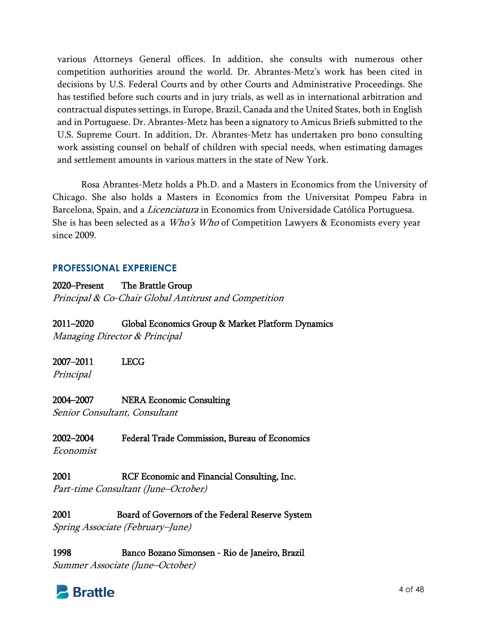various Attorneys General offices. In addition, she consults with numerous other competition authorities around the world. Dr. Abrantes-Metz's work has been cited in decisions by U.S. Federal Courts and by other Courts and Administrative Proceedings. She has testified before such courts and in jury trials, as well as in international arbitration and contractual disputes settings, in Europe, Brazil, Canada and the United States, both in English and in Portuguese. Dr. Abrantes-Metz has been a signatory to Amicus Briefs submitted to the U.S. Supreme Court. In addition, Dr. Abrantes-Metz has undertaken pro bono consulting work assisting counsel on behalf of children with special needs, when estimating damages and settlement amounts in various matters in the state of New York.

Rosa Abrantes-Metz holds a Ph.D. and a Masters in Economics from the University of Chicago. She also holds a Masters in Economics from the Universitat Pompeu Fabra in Barcelona, Spain, and a *Licenciatura* in Economics from Universidade Católica Portuguesa. She is has been selected as a *Who's Who* of Competition Lawyers & Economists every year since 2009.

# **PROFESSIONAL EXPERIENCE**

2020–Present The Brattle Group Principal & Co-Chair Global Antitrust and Competition

## 2011–2020 Global Economics Group & Market Platform Dynamics

Managing Director & Principal

# 2007–2011 LECG

Principal

## 2004–2007 NERA Economic Consulting

Senior Consultant, Consultant

# 2002–2004 Federal Trade Commission, Bureau of Economics

Economist

2001 RCF Economic and Financial Consulting, Inc. Part-time Consultant (June–October)

2001 Board of Governors of the Federal Reserve System Spring Associate (February–June)

1998 Banco Bozano Simonsen - Rio de Janeiro, Brazil Summer Associate (June–October)

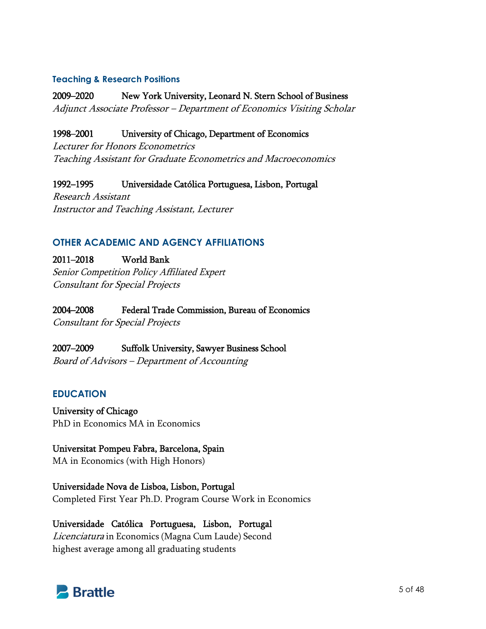#### **Teaching & Research Positions**

2009–2020 New York University, Leonard N. Stern School of Business Adjunct Associate Professor – Department of Economics Visiting Scholar

#### 1998–2001 University of Chicago, Department of Economics

Lecturer for Honors Econometrics Teaching Assistant for Graduate Econometrics and Macroeconomics

1992–1995 Universidade Católica Portuguesa, Lisbon, Portugal Research Assistant Instructor and Teaching Assistant, Lecturer

#### **OTHER ACADEMIC AND AGENCY AFFILIATIONS**

2011–2018 World Bank Senior Competition Policy Affiliated Expert Consultant for Special Projects

2004–2008 Federal Trade Commission, Bureau of Economics

Consultant for Special Projects

2007–2009 Suffolk University, Sawyer Business School Board of Advisors – Department of Accounting

#### **EDUCATION**

University of Chicago PhD in Economics MA in Economics

Universitat Pompeu Fabra, Barcelona, Spain MA in Economics (with High Honors)

Universidade Nova de Lisboa, Lisbon, Portugal Completed First Year Ph.D. Program Course Work in Economics

Universidade Católica Portuguesa, Lisbon, Portugal Licenciatura in Economics (Magna Cum Laude) Second highest average among all graduating students

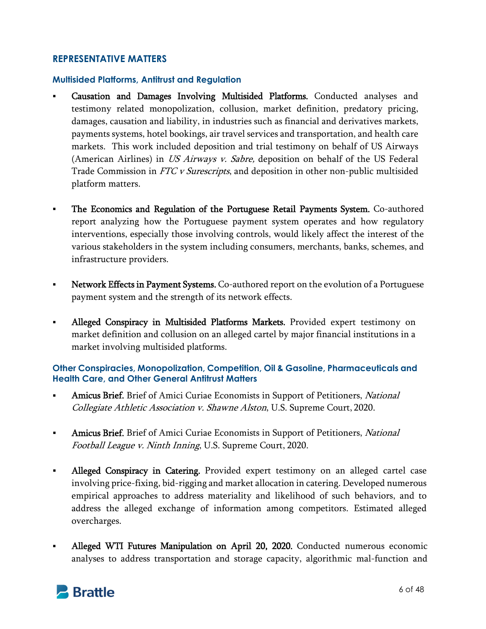# **REPRESENTATIVE MATTERS**

#### **Multisided Platforms, Antitrust and Regulation**

- Causation and Damages Involving Multisided Platforms. Conducted analyses and testimony related monopolization, collusion, market definition, predatory pricing, damages, causation and liability, in industries such as financial and derivatives markets, payments systems, hotel bookings, air travel services and transportation, and health care markets. This work included deposition and trial testimony on behalf of US Airways (American Airlines) in US Airways v. Sabre, deposition on behalf of the US Federal Trade Commission in FTC v Surescripts, and deposition in other non-public multisided platform matters.
- **The Economics and Regulation of the Portuguese Retail Payments System.** Co-authored report analyzing how the Portuguese payment system operates and how regulatory interventions, especially those involving controls, would likely affect the interest of the various stakeholders in the system including consumers, merchants, banks, schemes, and infrastructure providers.
- Network Effects in Payment Systems. Co-authored report on the evolution of a Portuguese payment system and the strength of its network effects.
- Alleged Conspiracy in Multisided Platforms Markets. Provided expert testimony on market definition and collusion on an alleged cartel by major financial institutions in a market involving multisided platforms.

#### **Other Conspiracies, Monopolization, Competition, Oil & Gasoline, Pharmaceuticals and Health Care, and Other General Antitrust Matters**

- Amicus Brief. Brief of Amici Curiae Economists in Support of Petitioners, National Collegiate Athletic Association v. Shawne Alston, U.S. Supreme Court, 2020.
- **Amicus Brief.** Brief of Amici Curiae Economists in Support of Petitioners, National Football League v. Ninth Inning, U.S. Supreme Court, 2020.
- Alleged Conspiracy in Catering. Provided expert testimony on an alleged cartel case involving price-fixing, bid-rigging and market allocation in catering. Developed numerous empirical approaches to address materiality and likelihood of such behaviors, and to address the alleged exchange of information among competitors. Estimated alleged overcharges.
- Alleged WTI Futures Manipulation on April 20, 2020. Conducted numerous economic analyses to address transportation and storage capacity, algorithmic mal-function and

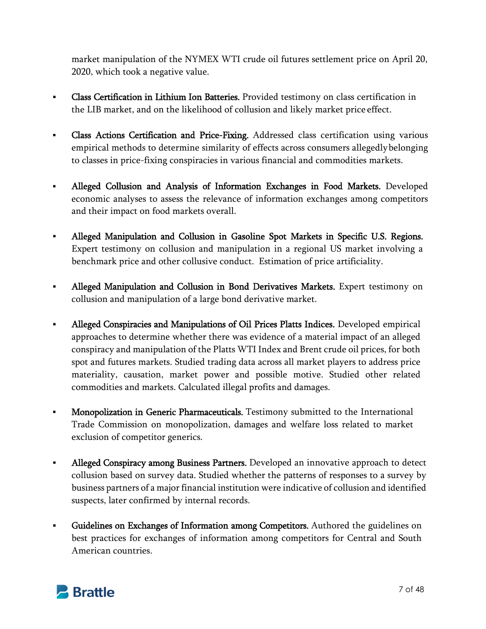market manipulation of the NYMEX WTI crude oil futures settlement price on April 20, 2020, which took a negative value.

- Class Certification in Lithium Ion Batteries. Provided testimony on class certification in the LIB market, and on the likelihood of collusion and likely market price effect.
- Class Actions Certification and Price-Fixing. Addressed class certification using various empirical methods to determine similarity of effects across consumers allegedly belonging to classes in price-fixing conspiracies in various financial and commodities markets.
- Alleged Collusion and Analysis of Information Exchanges in Food Markets. Developed economic analyses to assess the relevance of information exchanges among competitors and their impact on food markets overall.
- Alleged Manipulation and Collusion in Gasoline Spot Markets in Specific U.S. Regions. Expert testimony on collusion and manipulation in a regional US market involving a benchmark price and other collusive conduct. Estimation of price artificiality.
- Alleged Manipulation and Collusion in Bond Derivatives Markets. Expert testimony on collusion and manipulation of a large bond derivative market.
- Alleged Conspiracies and Manipulations of Oil Prices Platts Indices. Developed empirical approaches to determine whether there was evidence of a material impact of an alleged conspiracy and manipulation of the Platts WTI Index and Brent crude oil prices, for both spot and futures markets. Studied trading data across all market players to address price materiality, causation, market power and possible motive. Studied other related commodities and markets. Calculated illegal profits and damages.
- **Monopolization in Generic Pharmaceuticals.** Testimony submitted to the International Trade Commission on monopolization, damages and welfare loss related to market exclusion of competitor generics.
- Alleged Conspiracy among Business Partners. Developed an innovative approach to detect collusion based on survey data. Studied whether the patterns of responses to a survey by business partners of a major financial institution were indicative of collusion and identified suspects, later confirmed by internal records.
- Guidelines on Exchanges of Information among Competitors. Authored the guidelines on best practices for exchanges of information among competitors for Central and South American countries.

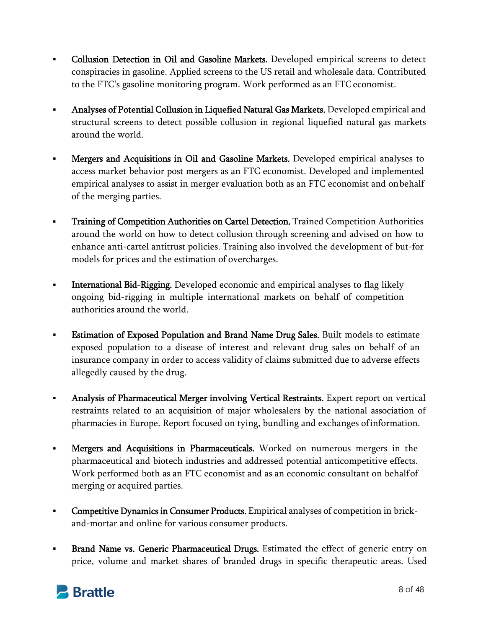- **Collusion Detection in Oil and Gasoline Markets.** Developed empirical screens to detect conspiracies in gasoline. Applied screens to the US retail and wholesale data. Contributed to the FTC's gasoline monitoring program. Work performed as an FTC economist.
- Analyses of Potential Collusion in Liquefied Natural Gas Markets. Developed empirical and structural screens to detect possible collusion in regional liquefied natural gas markets around the world.
- **Mergers and Acquisitions in Oil and Gasoline Markets.** Developed empirical analyses to access market behavior post mergers as an FTC economist. Developed and implemented empirical analyses to assist in merger evaluation both as an FTC economist and on behalf of the merging parties.
- Training of Competition Authorities on Cartel Detection. Trained Competition Authorities around the world on how to detect collusion through screening and advised on how to enhance anti-cartel antitrust policies. Training also involved the development of but-for models for prices and the estimation of overcharges.
- **International Bid-Rigging.** Developed economic and empirical analyses to flag likely ongoing bid-rigging in multiple international markets on behalf of competition authorities around the world.
- Estimation of Exposed Population and Brand Name Drug Sales. Built models to estimate exposed population to a disease of interest and relevant drug sales on behalf of an insurance company in order to access validity of claims submitted due to adverse effects allegedly caused by the drug.
- Analysis of Pharmaceutical Merger involving Vertical Restraints. Expert report on vertical restraints related to an acquisition of major wholesalers by the national association of pharmacies in Europe. Report focused on tying, bundling and exchanges of information.
- Mergers and Acquisitions in Pharmaceuticals. Worked on numerous mergers in the pharmaceutical and biotech industries and addressed potential anticompetitive effects. Work performed both as an FTC economist and as an economic consultant on behalf of merging or acquired parties.
- **Competitive Dynamics in Consumer Products.** Empirical analyses of competition in brickand-mortar and online for various consumer products.
- **Brand Name vs. Generic Pharmaceutical Drugs.** Estimated the effect of generic entry on price, volume and market shares of branded drugs in specific therapeutic areas. Used

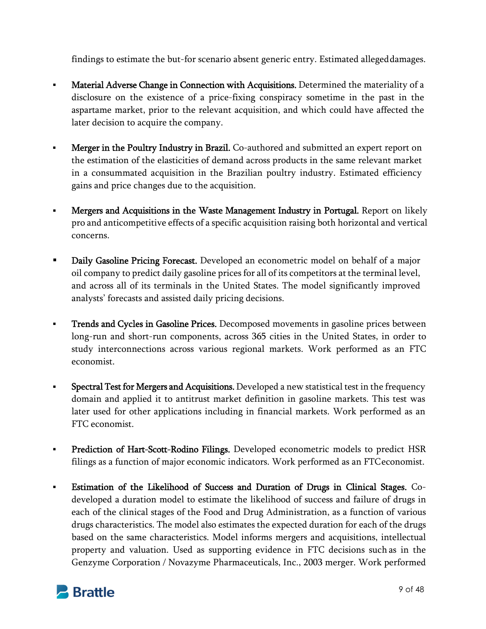findings to estimate the but-for scenario absent generic entry. Estimated alleged damages.

- **Material Adverse Change in Connection with Acquisitions.** Determined the materiality of a disclosure on the existence of a price-fixing conspiracy sometime in the past in the aspartame market, prior to the relevant acquisition, and which could have affected the later decision to acquire the company.
- **Merger in the Poultry Industry in Brazil.** Co-authored and submitted an expert report on the estimation of the elasticities of demand across products in the same relevant market in a consummated acquisition in the Brazilian poultry industry. Estimated efficiency gains and price changes due to the acquisition.
- **Mergers and Acquisitions in the Waste Management Industry in Portugal.** Report on likely pro and anticompetitive effects of a specific acquisition raising both horizontal and vertical concerns.
- **Daily Gasoline Pricing Forecast.** Developed an econometric model on behalf of a major oil company to predict daily gasoline prices for all of its competitors at the terminal level, and across all of its terminals in the United States. The model significantly improved analysts' forecasts and assisted daily pricing decisions.
- **Trends and Cycles in Gasoline Prices.** Decomposed movements in gasoline prices between long-run and short-run components, across 365 cities in the United States, in order to study interconnections across various regional markets. Work performed as an FTC economist.
- **Spectral Test for Mergers and Acquisitions.** Developed a new statistical test in the frequency domain and applied it to antitrust market definition in gasoline markets. This test was later used for other applications including in financial markets. Work performed as an FTC economist.
- **Prediction of Hart-Scott-Rodino Filings.** Developed econometric models to predict HSR filings as a function of major economic indicators. Work performed as an FTC economist.
- Estimation of the Likelihood of Success and Duration of Drugs in Clinical Stages. Codeveloped a duration model to estimate the likelihood of success and failure of drugs in each of the clinical stages of the Food and Drug Administration, as a function of various drugs characteristics. The model also estimates the expected duration for each of the drugs based on the same characteristics. Model informs mergers and acquisitions, intellectual property and valuation. Used as supporting evidence in FTC decisions such as in the Genzyme Corporation / Novazyme Pharmaceuticals, Inc., 2003 merger. Work performed

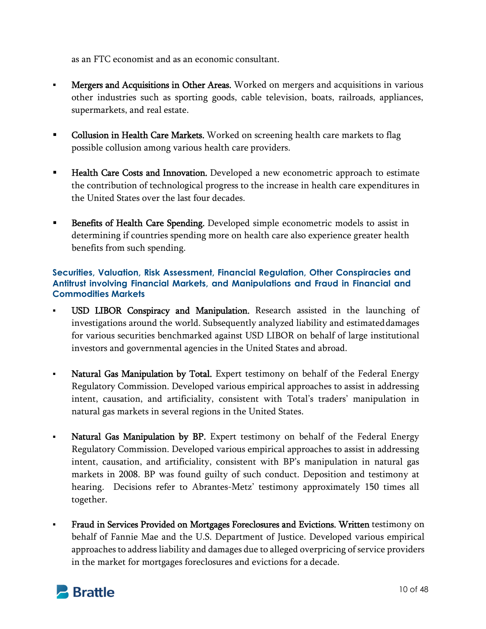as an FTC economist and as an economic consultant.

- **Mergers and Acquisitions in Other Areas.** Worked on mergers and acquisitions in various other industries such as sporting goods, cable television, boats, railroads, appliances, supermarkets, and real estate.
- Collusion in Health Care Markets. Worked on screening health care markets to flag possible collusion among various health care providers.
- **Health Care Costs and Innovation.** Developed a new econometric approach to estimate the contribution of technological progress to the increase in health care expenditures in the United States over the last four decades.
- **Benefits of Health Care Spending.** Developed simple econometric models to assist in determining if countries spending more on health care also experience greater health benefits from such spending.

## **Securities, Valuation, Risk Assessment, Financial Regulation, Other Conspiracies and Antitrust involving Financial Markets, and Manipulations and Fraud in Financial and Commodities Markets**

- USD LIBOR Conspiracy and Manipulation. Research assisted in the launching of investigations around the world. Subsequently analyzed liability and estimated damages for various securities benchmarked against USD LIBOR on behalf of large institutional investors and governmental agencies in the United States and abroad.
- Natural Gas Manipulation by Total. Expert testimony on behalf of the Federal Energy Regulatory Commission. Developed various empirical approaches to assist in addressing intent, causation, and artificiality, consistent with Total's traders' manipulation in natural gas markets in several regions in the United States.
- Natural Gas Manipulation by BP. Expert testimony on behalf of the Federal Energy Regulatory Commission. Developed various empirical approaches to assist in addressing intent, causation, and artificiality, consistent with BP's manipulation in natural gas markets in 2008. BP was found guilty of such conduct. Deposition and testimony at hearing. Decisions refer to Abrantes-Metz' testimony approximately 150 times all together.
- Fraud in Services Provided on Mortgages Foreclosures and Evictions. Written testimony on behalf of Fannie Mae and the U.S. Department of Justice. Developed various empirical approaches to address liability and damages due to alleged overpricing of service providers in the market for mortgages foreclosures and evictions for a decade.

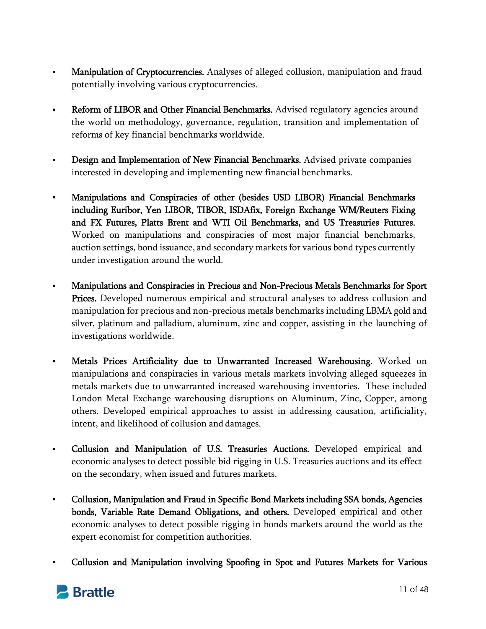- **Manipulation of Cryptocurrencies.** Analyses of alleged collusion, manipulation and fraud potentially involving various cryptocurrencies.
- Reform of LIBOR and Other Financial Benchmarks. Advised regulatory agencies around the world on methodology, governance, regulation, transition and implementation of reforms of key financial benchmarks worldwide.
- **Design and Implementation of New Financial Benchmarks.** Advised private companies interested in developing and implementing new financial benchmarks.
- Manipulations and Conspiracies of other (besides USD LIBOR) Financial Benchmarks including Euribor, Yen LIBOR, TIBOR, ISDAfix, Foreign Exchange WM/Reuters Fixing and FX Futures, Platts Brent and WTI Oil Benchmarks, and US Treasuries Futures. Worked on manipulations and conspiracies of most major financial benchmarks, auction settings, bond issuance, and secondary markets for various bond types currently under investigation around the world.
- Manipulations and Conspiracies in Precious and Non-Precious Metals Benchmarks for Sport Prices. Developed numerous empirical and structural analyses to address collusion and manipulation for precious and non-precious metals benchmarks including LBMA gold and silver, platinum and palladium, aluminum, zinc and copper, assisting in the launching of investigations worldwide.
- Metals Prices Artificiality due to Unwarranted Increased Warehousing. Worked on manipulations and conspiracies in various metals markets involving alleged squeezes in metals markets due to unwarranted increased warehousing inventories. These included London Metal Exchange warehousing disruptions on Aluminum, Zinc, Copper, among others. Developed empirical approaches to assist in addressing causation, artificiality, intent, and likelihood of collusion and damages.
- Collusion and Manipulation of U.S. Treasuries Auctions. Developed empirical and economic analyses to detect possible bid rigging in U.S. Treasuries auctions and its effect on the secondary, when issued and futures markets.
- Collusion, Manipulation and Fraud in Specific Bond Markets including SSA bonds, Agencies bonds, Variable Rate Demand Obligations, and others. Developed empirical and other economic analyses to detect possible rigging in bonds markets around the world as the expert economist for competition authorities.
- Collusion and Manipulation involving Spoofing in Spot and Futures Markets for Various

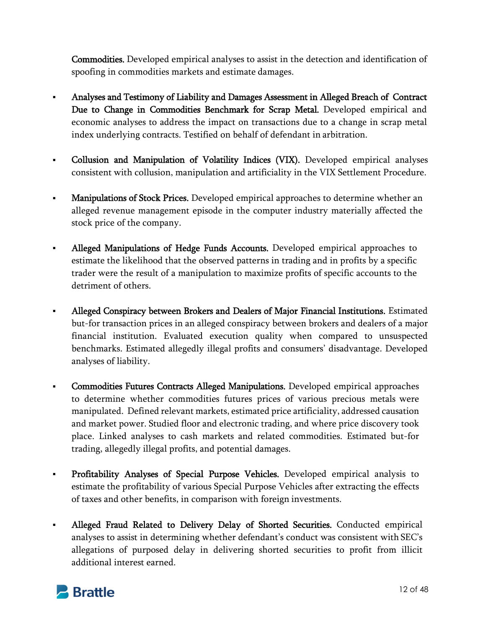Commodities. Developed empirical analyses to assist in the detection and identification of spoofing in commodities markets and estimate damages.

- Analyses and Testimony of Liability and Damages Assessment in Alleged Breach of Contract Due to Change in Commodities Benchmark for Scrap Metal. Developed empirical and economic analyses to address the impact on transactions due to a change in scrap metal index underlying contracts. Testified on behalf of defendant in arbitration.
- Collusion and Manipulation of Volatility Indices (VIX). Developed empirical analyses consistent with collusion, manipulation and artificiality in the VIX Settlement Procedure.
- Manipulations of Stock Prices. Developed empirical approaches to determine whether an alleged revenue management episode in the computer industry materially affected the stock price of the company.
- Alleged Manipulations of Hedge Funds Accounts. Developed empirical approaches to estimate the likelihood that the observed patterns in trading and in profits by a specific trader were the result of a manipulation to maximize profits of specific accounts to the detriment of others.
- Alleged Conspiracy between Brokers and Dealers of Major Financial Institutions. Estimated but-for transaction prices in an alleged conspiracy between brokers and dealers of a major financial institution. Evaluated execution quality when compared to unsuspected benchmarks. Estimated allegedly illegal profits and consumers' disadvantage. Developed analyses of liability.
- Commodities Futures Contracts Alleged Manipulations. Developed empirical approaches to determine whether commodities futures prices of various precious metals were manipulated. Defined relevant markets, estimated price artificiality, addressed causation and market power. Studied floor and electronic trading, and where price discovery took place. Linked analyses to cash markets and related commodities. Estimated but-for trading, allegedly illegal profits, and potential damages.
- Profitability Analyses of Special Purpose Vehicles. Developed empirical analysis to estimate the profitability of various Special Purpose Vehicles after extracting the effects of taxes and other benefits, in comparison with foreign investments.
- Alleged Fraud Related to Delivery Delay of Shorted Securities. Conducted empirical analyses to assist in determining whether defendant's conduct was consistent with SEC's allegations of purposed delay in delivering shorted securities to profit from illicit additional interest earned.

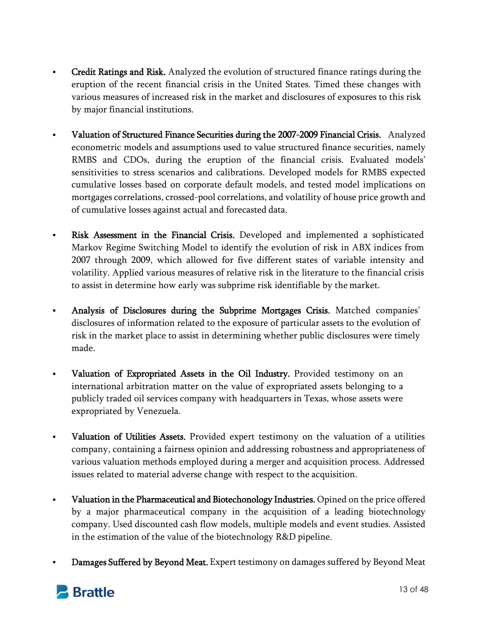- Credit Ratings and Risk. Analyzed the evolution of structured finance ratings during the eruption of the recent financial crisis in the United States. Timed these changes with various measures of increased risk in the market and disclosures of exposures to this risk by major financial institutions.
- Valuation of Structured Finance Securities during the 2007-2009 Financial Crisis. Analyzed econometric models and assumptions used to value structured finance securities, namely RMBS and CDOs, during the eruption of the financial crisis. Evaluated models' sensitivities to stress scenarios and calibrations. Developed models for RMBS expected cumulative losses based on corporate default models, and tested model implications on mortgages correlations, crossed-pool correlations, and volatility of house price growth and of cumulative losses against actual and forecasted data.
- Risk Assessment in the Financial Crisis. Developed and implemented a sophisticated Markov Regime Switching Model to identify the evolution of risk in ABX indices from 2007 through 2009, which allowed for five different states of variable intensity and volatility. Applied various measures of relative risk in the literature to the financial crisis to assist in determine how early was subprime risk identifiable by the market.
- Analysis of Disclosures during the Subprime Mortgages Crisis. Matched companies' disclosures of information related to the exposure of particular assets to the evolution of risk in the market place to assist in determining whether public disclosures were timely made.
- Valuation of Expropriated Assets in the Oil Industry. Provided testimony on an international arbitration matter on the value of expropriated assets belonging to a publicly traded oil services company with headquarters in Texas, whose assets were expropriated by Venezuela.
- Valuation of Utilities Assets. Provided expert testimony on the valuation of a utilities company, containing a fairness opinion and addressing robustness and appropriateness of various valuation methods employed during a merger and acquisition process. Addressed issues related to material adverse change with respect to the acquisition.
- Valuation in the Pharmaceutical and Biotechonology Industries. Opined on the price offered by a major pharmaceutical company in the acquisition of a leading biotechnology company. Used discounted cash flow models, multiple models and event studies. Assisted in the estimation of the value of the biotechnology R&D pipeline.
- Damages Suffered by Beyond Meat. Expert testimony on damages suffered by Beyond Meat

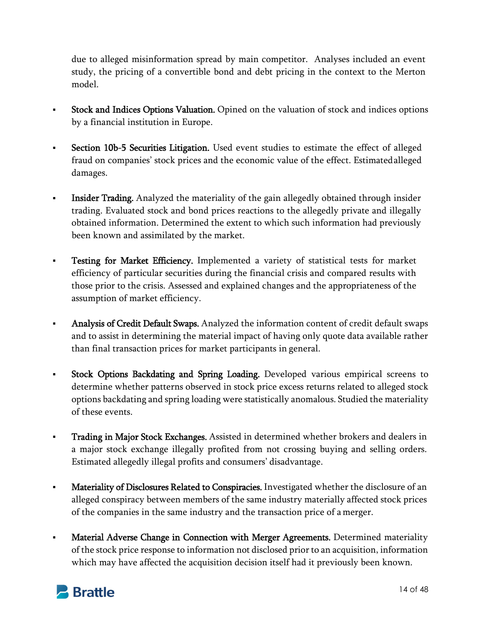due to alleged misinformation spread by main competitor. Analyses included an event study, the pricing of a convertible bond and debt pricing in the context to the Merton model.

- Stock and Indices Options Valuation. Opined on the valuation of stock and indices options by a financial institution in Europe.
- Section 10b-5 Securities Litigation. Used event studies to estimate the effect of alleged fraud on companies' stock prices and the economic value of the effect. Estimated alleged damages.
- Insider Trading. Analyzed the materiality of the gain allegedly obtained through insider trading. Evaluated stock and bond prices reactions to the allegedly private and illegally obtained information. Determined the extent to which such information had previously been known and assimilated by the market.
- **Testing for Market Efficiency.** Implemented a variety of statistical tests for market efficiency of particular securities during the financial crisis and compared results with those prior to the crisis. Assessed and explained changes and the appropriateness of the assumption of market efficiency.
- Analysis of Credit Default Swaps. Analyzed the information content of credit default swaps and to assist in determining the material impact of having only quote data available rather than final transaction prices for market participants in general.
- **Stock Options Backdating and Spring Loading.** Developed various empirical screens to determine whether patterns observed in stock price excess returns related to alleged stock options backdating and spring loading were statistically anomalous. Studied the materiality of these events.
- **Trading in Major Stock Exchanges.** Assisted in determined whether brokers and dealers in a major stock exchange illegally profited from not crossing buying and selling orders. Estimated allegedly illegal profits and consumers' disadvantage.
- **Materiality of Disclosures Related to Conspiracies.** Investigated whether the disclosure of an alleged conspiracy between members of the same industry materially affected stock prices of the companies in the same industry and the transaction price of a merger.
- Material Adverse Change in Connection with Merger Agreements. Determined materiality of the stock price response to information not disclosed prior to an acquisition, information which may have affected the acquisition decision itself had it previously been known.

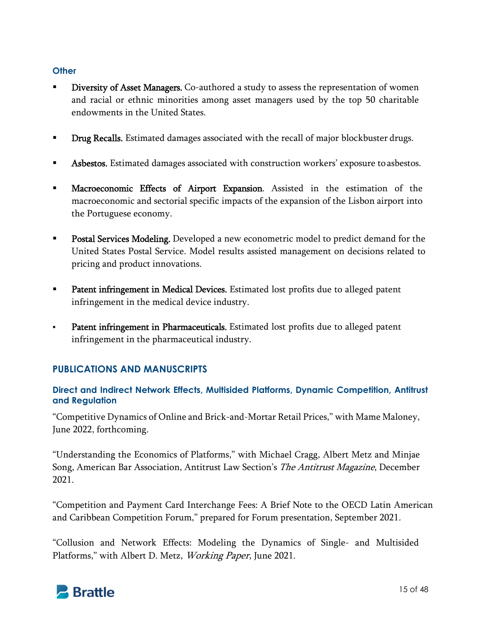#### **Other**

- Diversity of Asset Managers. Co-authored a study to assess the representation of women and racial or ethnic minorities among asset managers used by the top 50 charitable endowments in the United States.
- **Drug Recalls.** Estimated damages associated with the recall of major blockbuster drugs.
- Asbestos. Estimated damages associated with construction workers' exposure to asbestos.
- Macroeconomic Effects of Airport Expansion. Assisted in the estimation of the macroeconomic and sectorial specific impacts of the expansion of the Lisbon airport into the Portuguese economy.
- **Postal Services Modeling.** Developed a new econometric model to predict demand for the United States Postal Service. Model results assisted management on decisions related to pricing and product innovations.
- **Patent infringement in Medical Devices.** Estimated lost profits due to alleged patent infringement in the medical device industry.
- Patent infringement in Pharmaceuticals. Estimated lost profits due to alleged patent infringement in the pharmaceutical industry.

# **PUBLICATIONS AND MANUSCRIPTS**

## **Direct and Indirect Network Effects, Multisided Platforms, Dynamic Competition, Antitrust and Regulation**

"Competitive Dynamics of Online and Brick-and-Mortar Retail Prices," with Mame Maloney, June 2022, forthcoming.

"Understanding the Economics of Platforms," with Michael Cragg, Albert Metz and Minjae Song, American Bar Association, Antitrust Law Section's The Antitrust Magazine, December 2021.

"Competition and Payment Card Interchange Fees: A Brief Note to the OECD Latin American and Caribbean Competition Forum," prepared for Forum presentation, September 2021.

"Collusion and Network Effects: Modeling the Dynamics of Single- and Multisided Platforms," with Albert D. Metz, Working Paper, June 2021.

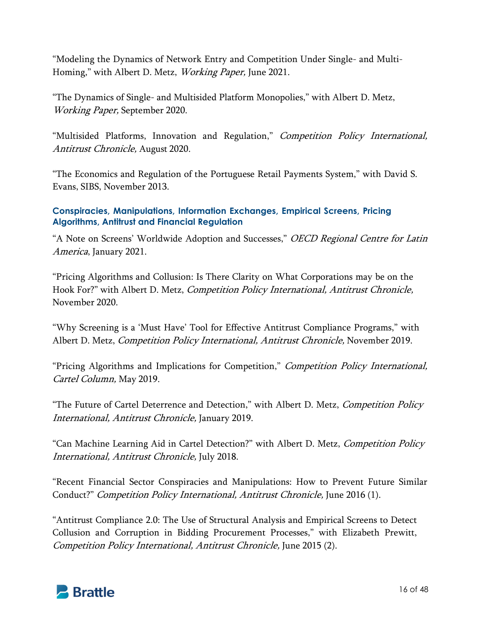"Modeling the Dynamics of Network Entry and Competition Under Single- and Multi-Homing," with Albert D. Metz, Working Paper, June 2021.

"The Dynamics of Single- and Multisided Platform Monopolies," with Albert D. Metz, Working Paper, September 2020.

"Multisided Platforms, Innovation and Regulation," Competition Policy International, Antitrust Chronicle, August 2020.

"The Economics and Regulation of the Portuguese Retail Payments System," with David S. Evans, SIBS, November 2013.

## **Conspiracies, Manipulations, Information Exchanges, Empirical Screens, Pricing Algorithms, Antitrust and Financial Regulation**

"A Note on Screens' Worldwide Adoption and Successes," *OECD Regional Centre for Latin* America, January 2021.

"Pricing Algorithms and Collusion: Is There Clarity on What Corporations may be on the Hook For?" with Albert D. Metz, Competition Policy International, Antitrust Chronicle, November 2020.

"Why Screening is a 'Must Have' Tool for Effective Antitrust Compliance Programs," with Albert D. Metz, Competition Policy International, Antitrust Chronicle, November 2019.

"Pricing Algorithms and Implications for Competition," Competition Policy International, Cartel Column, May 2019.

"The Future of Cartel Deterrence and Detection," with Albert D. Metz, *Competition Policy* International, Antitrust Chronicle, January 2019.

"Can Machine Learning Aid in Cartel Detection?" with Albert D. Metz, Competition Policy International, Antitrust Chronicle, July 2018.

"Recent Financial Sector Conspiracies and Manipulations: How to Prevent Future Similar Conduct?" Competition Policy International, Antitrust Chronicle, June 2016 (1).

"Antitrust Compliance 2.0: The Use of Structural Analysis and Empirical Screens to Detect Collusion and Corruption in Bidding Procurement Processes," with Elizabeth Prewitt, Competition Policy International, Antitrust Chronicle, June 2015 (2).

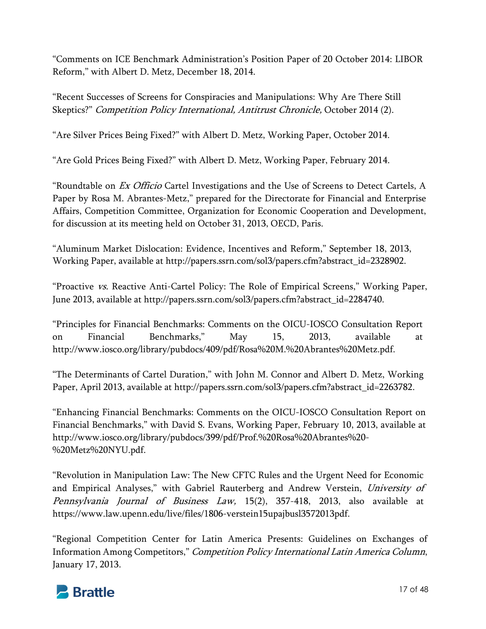"Comments on ICE Benchmark Administration's Position Paper of 20 October 2014: LIBOR Reform," with Albert D. Metz, December 18, 2014.

"Recent Successes of Screens for Conspiracies and Manipulations: Why Are There Still Skeptics?" Competition Policy International, Antitrust Chronicle, October 2014 (2).

"Are Silver Prices Being Fixed?" with Albert D. Metz, Working Paper, October 2014.

"Are Gold Prices Being Fixed?" with Albert D. Metz, Working Paper, February 2014.

"Roundtable on *Ex Officio* Cartel Investigations and the Use of Screens to Detect Cartels, A Paper by Rosa M. Abrantes-Metz," prepared for the Directorate for Financial and Enterprise Affairs, Competition Committee, Organization for Economic Cooperation and Development, for discussion at its meeting held on October 31, 2013, OECD, Paris.

"Aluminum Market Dislocation: Evidence, Incentives and Reform," September 18, 2013, Working Paper, available at http://papers.ssrn.com/sol3/papers.cfm?abstract\_id=2328902.

"Proactive vs. Reactive Anti-Cartel Policy: The Role of Empirical Screens," Working Paper, June 2013, available at http://papers.ssrn.com/sol3/papers.cfm?abstract\_id=2284740.

"Principles for Financial Benchmarks: Comments on the OICU-IOSCO Consultation Report on Financial Benchmarks," May 15, 2013, available at http://www.iosco.org/library/pubdocs/409/pdf/Rosa%20M.%20Abrantes%20Metz.pdf.

"The Determinants of Cartel Duration," with John M. Connor and Albert D. Metz, Working Paper, April 2013, available at http://papers.ssrn.com/sol3/papers.cfm?abstract\_id=2263782.

"Enhancing Financial Benchmarks: Comments on the OICU-IOSCO Consultation Report on Financial Benchmarks," with David S. Evans, Working Paper, February 10, 2013, available at http://www.iosco.org/library/pubdocs/399/pdf/Prof.%20Rosa%20Abrantes%20- %20Metz%20NYU.pdf.

"Revolution in Manipulation Law: The New CFTC Rules and the Urgent Need for Economic and Empirical Analyses," with Gabriel Rauterberg and Andrew Verstein, University of Pennsylvania Journal of Business Law, 15(2), 357-418, 2013, also available at https://www.law.upenn.edu/live/files/1806-verstein15upajbusl3572013pdf.

"Regional Competition Center for Latin America Presents: Guidelines on Exchanges of Information Among Competitors," Competition Policy International Latin America Column, January 17, 2013.

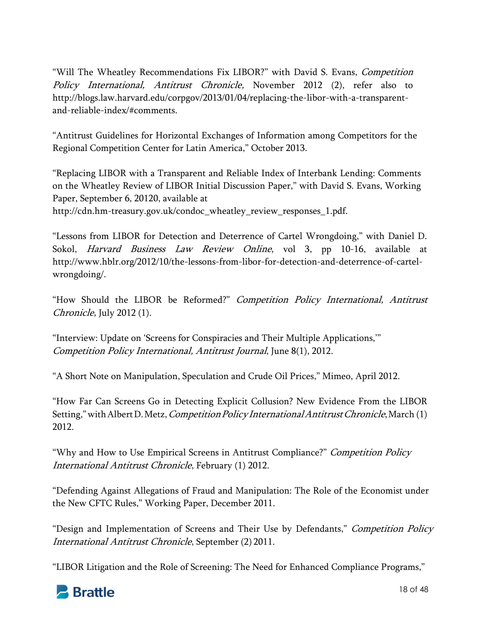"Will The Wheatley Recommendations Fix LIBOR?" with David S. Evans, Competition Policy International, Antitrust Chronicle, November 2012 (2), refer also to http://blogs.law.harvard.edu/corpgov/2013/01/04/replacing-the-libor-with-a-transparentand-reliable-index/#comments.

"Antitrust Guidelines for Horizontal Exchanges of Information among Competitors for the Regional Competition Center for Latin America," October 2013.

"Replacing LIBOR with a Transparent and Reliable Index of Interbank Lending: Comments on the Wheatley Review of LIBOR Initial Discussion Paper," with David S. Evans, Working Paper, September 6, 20120, available at http://cdn.hm-treasury.gov.uk/condoc\_wheatley\_review\_responses\_1.pdf.

"Lessons from LIBOR for Detection and Deterrence of Cartel Wrongdoing," with Daniel D. Sokol, Harvard Business Law Review Online, vol 3, pp 10-16, available at http://www.hblr.org/2012/10/the-lessons-from-libor-for-detection-and-deterrence-of-cartelwrongdoing/.

"How Should the LIBOR be Reformed?" Competition Policy International, Antitrust Chronicle, July 2012 (1).

"Interview: Update on 'Screens for Conspiracies and Their Multiple Applications,'" Competition Policy International, Antitrust Journal, June 8(1), 2012.

"A Short Note on Manipulation, Speculation and Crude Oil Prices," Mimeo, April 2012.

"How Far Can Screens Go in Detecting Explicit Collusion? New Evidence From the LIBOR Setting," with Albert D. Metz, *Competition Policy International Antitrust Chronicle*, March (1) 2012.

"Why and How to Use Empirical Screens in Antitrust Compliance?" Competition Policy International Antitrust Chronicle, February (1) 2012.

"Defending Against Allegations of Fraud and Manipulation: The Role of the Economist under the New CFTC Rules," Working Paper, December 2011.

"Design and Implementation of Screens and Their Use by Defendants," Competition Policy International Antitrust Chronicle, September (2) 2011.

"LIBOR Litigation and the Role of Screening: The Need for Enhanced Compliance Programs,"

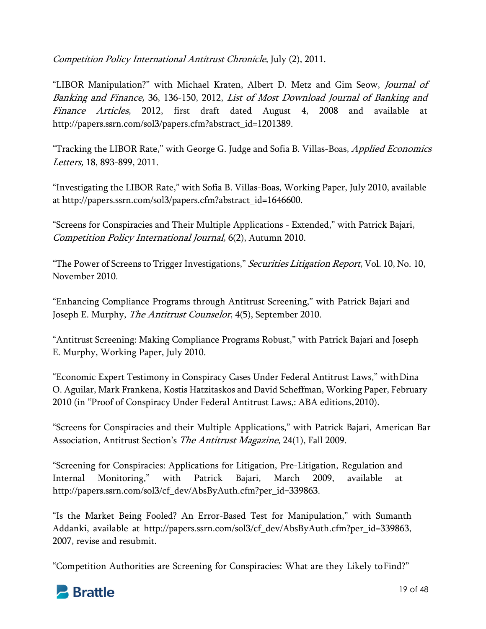Competition Policy International Antitrust Chronicle, July (2), 2011.

"LIBOR Manipulation?" with Michael Kraten, Albert D. Metz and Gim Seow, Journal of Banking and Finance, 36, 136-150, 2012, List of Most Download Journal of Banking and Finance Articles, 2012, first draft dated August 4, 2008 and available at http://papers.ssrn.com/sol3/papers.cfm?abstract\_id=1201389.

"Tracking the LIBOR Rate," with George G. Judge and Sofia B. Villas-Boas, Applied Economics Letters, 18, 893-899, 2011.

"Investigating the LIBOR Rate," with Sofia B. Villas-Boas, Working Paper, July 2010, available at http://papers.ssrn.com/sol3/papers.cfm?abstract\_id=1646600.

"Screens for Conspiracies and Their Multiple Applications - Extended," with Patrick Bajari, Competition Policy International Journal, 6(2), Autumn 2010.

"The Power of Screens to Trigger Investigations," Securities Litigation Report, Vol. 10, No. 10, November 2010.

"Enhancing Compliance Programs through Antitrust Screening," with Patrick Bajari and Joseph E. Murphy, The Antitrust Counselor, 4(5), September 2010.

"Antitrust Screening: Making Compliance Programs Robust," with Patrick Bajari and Joseph E. Murphy, Working Paper, July 2010.

"Economic Expert Testimony in Conspiracy Cases Under Federal Antitrust Laws," with Dina O. Aguilar, Mark Frankena, Kostis Hatzitaskos and David Scheffman, Working Paper, February 2010 (in "Proof of Conspiracy Under Federal Antitrust Laws,: ABA editions, 2010).

"Screens for Conspiracies and their Multiple Applications," with Patrick Bajari, American Bar Association, Antitrust Section's The Antitrust Magazine, 24(1), Fall 2009.

"Screening for Conspiracies: Applications for Litigation, Pre-Litigation, Regulation and Internal Monitoring," with Patrick Bajari, March 2009, available at http://papers.ssrn.com/sol3/cf\_dev/AbsByAuth.cfm?per\_id=339863.

"Is the Market Being Fooled? An Error-Based Test for Manipulation," with Sumanth Addanki, available at http://papers.ssrn.com/sol3/cf\_dev/AbsByAuth.cfm?per\_id=339863, 2007, revise and resubmit.

"Competition Authorities are Screening for Conspiracies: What are they Likely to Find?"

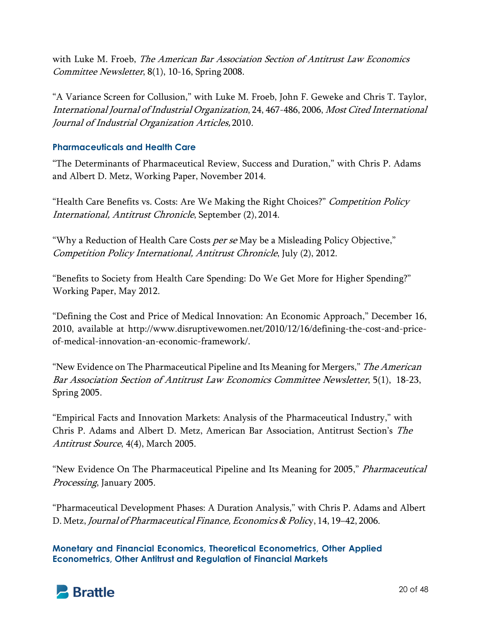with Luke M. Froeb, The American Bar Association Section of Antitrust Law Economics Committee Newsletter, 8(1), 10-16, Spring 2008.

"A Variance Screen for Collusion," with Luke M. Froeb, John F. Geweke and Chris T. Taylor, International Journal of Industrial Organization, 24, 467-486, 2006, Most Cited International Journal of Industrial Organization Articles, 2010.

## **Pharmaceuticals and Health Care**

"The Determinants of Pharmaceutical Review, Success and Duration," with Chris P. Adams and Albert D. Metz, Working Paper, November 2014.

"Health Care Benefits vs. Costs: Are We Making the Right Choices?" Competition Policy International, Antitrust Chronicle, September (2), 2014.

"Why a Reduction of Health Care Costs *per se* May be a Misleading Policy Objective," Competition Policy International, Antitrust Chronicle, July (2), 2012.

"Benefits to Society from Health Care Spending: Do We Get More for Higher Spending?" Working Paper, May 2012.

"Defining the Cost and Price of Medical Innovation: An Economic Approach," December 16, 2010, available at http://www.disruptivewomen.net/2010/12/16/defining-the-cost-and-priceof-medical-innovation-an-economic-framework/.

"New Evidence on The Pharmaceutical Pipeline and Its Meaning for Mergers," The American Bar Association Section of Antitrust Law Economics Committee Newsletter, 5(1), 18-23, Spring 2005.

"Empirical Facts and Innovation Markets: Analysis of the Pharmaceutical Industry," with Chris P. Adams and Albert D. Metz, American Bar Association, Antitrust Section's The Antitrust Source, 4(4), March 2005.

"New Evidence On The Pharmaceutical Pipeline and Its Meaning for 2005," *Pharmaceutical* Processing, January 2005.

"Pharmaceutical Development Phases: A Duration Analysis," with Chris P. Adams and Albert D. Metz, Journal of Pharmaceutical Finance, Economics & Policy, 14, 19–42, 2006.

**Monetary and Financial Economics, Theoretical Econometrics, Other Applied Econometrics, Other Antitrust and Regulation of Financial Markets**

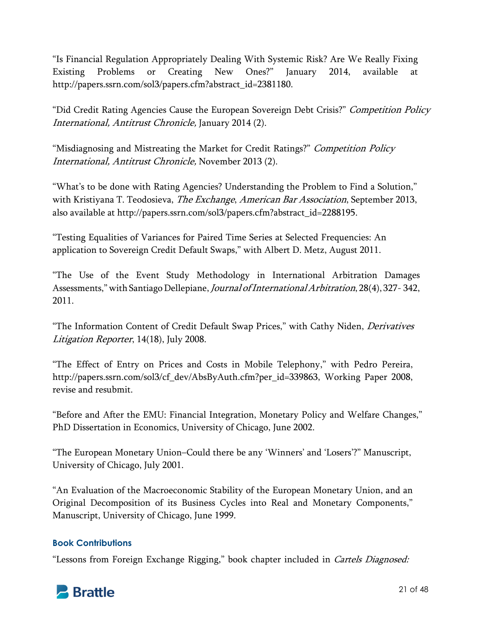"Is Financial Regulation Appropriately Dealing With Systemic Risk? Are We Really Fixing Existing Problems or Creating New Ones?" January 2014, available at http://papers.ssrn.com/sol3/papers.cfm?abstract\_id=2381180.

"Did Credit Rating Agencies Cause the European Sovereign Debt Crisis?" Competition Policy International, Antitrust Chronicle, January 2014 (2).

"Misdiagnosing and Mistreating the Market for Credit Ratings?" Competition Policy International, Antitrust Chronicle, November 2013 (2).

"What's to be done with Rating Agencies? Understanding the Problem to Find a Solution," with Kristiyana T. Teodosieva, *The Exchange, American Bar Association*, September 2013, also available at http://papers.ssrn.com/sol3/papers.cfm?abstract\_id=2288195.

"Testing Equalities of Variances for Paired Time Series at Selected Frequencies: An application to Sovereign Credit Default Swaps," with Albert D. Metz, August 2011.

"The Use of the Event Study Methodology in International Arbitration Damages Assessments," with Santiago Dellepiane, Journal of International Arbitration, 28(4), 327- 342, 2011.

"The Information Content of Credit Default Swap Prices," with Cathy Niden, *Derivatives* Litigation Reporter, 14(18), July 2008.

"The Effect of Entry on Prices and Costs in Mobile Telephony," with Pedro Pereira, http://papers.ssrn.com/sol3/cf\_dev/AbsByAuth.cfm?per\_id=339863, Working Paper 2008, revise and resubmit.

"Before and After the EMU: Financial Integration, Monetary Policy and Welfare Changes," PhD Dissertation in Economics, University of Chicago, June 2002.

"The European Monetary Union–Could there be any 'Winners' and 'Losers'?" Manuscript, University of Chicago, July 2001.

"An Evaluation of the Macroeconomic Stability of the European Monetary Union, and an Original Decomposition of its Business Cycles into Real and Monetary Components," Manuscript, University of Chicago, June 1999.

## **Book Contributions**

"Lessons from Foreign Exchange Rigging," book chapter included in Cartels Diagnosed:

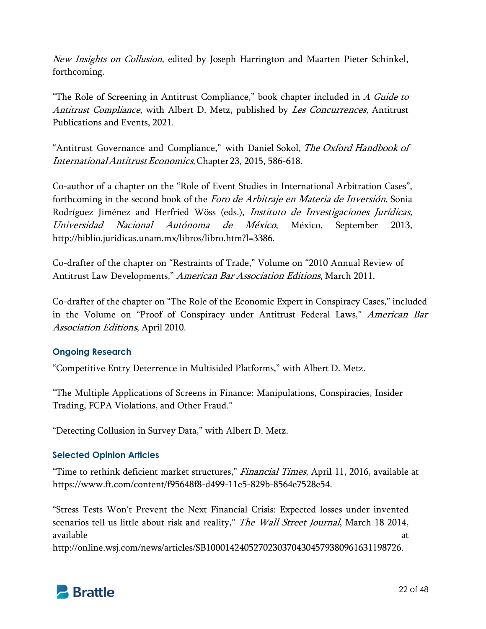New Insights on Collusion, edited by Joseph Harrington and Maarten Pieter Schinkel, forthcoming.

"The Role of Screening in Antitrust Compliance," book chapter included in  $A$  Guide to Antitrust Compliance, with Albert D. Metz, published by Les Concurrences, Antitrust Publications and Events, 2021.

"Antitrust Governance and Compliance," with Daniel Sokol, The Oxford Handbook of International Antitrust Economics, Chapter 23, 2015, 586-618.

Co-author of a chapter on the "Role of Event Studies in International Arbitration Cases", forthcoming in the second book of the Foro de Arbitraje en Materia de Inversión, Sonia Rodríguez Jiménez and Herfried Wöss (eds.), *Instituto de Investigaciones Jurídicas*, Universidad Nacional Autónoma de México, México, September 2013, http://biblio.juridicas.unam.mx/libros/libro.htm?l=3386.

Co-drafter of the chapter on "Restraints of Trade," Volume on "2010 Annual Review of Antitrust Law Developments," American Bar Association Editions, March 2011.

Co-drafter of the chapter on "The Role of the Economic Expert in Conspiracy Cases," included in the Volume on "Proof of Conspiracy under Antitrust Federal Laws," American Bar Association Editions, April 2010.

## **Ongoing Research**

"Competitive Entry Deterrence in Multisided Platforms," with Albert D. Metz.

"The Multiple Applications of Screens in Finance: Manipulations, Conspiracies, Insider Trading, FCPA Violations, and Other Fraud."

"Detecting Collusion in Survey Data," with Albert D. Metz.

## **Selected Opinion Articles**

"Time to rethink deficient market structures," Financial Times, April 11, 2016, available at https://www.ft.com/content/f95648f8-d499-11e5-829b-8564e7528e54.

"Stress Tests Won't Prevent the Next Financial Crisis: Expected losses under invented scenarios tell us little about risk and reality," The Wall Street Journal, March 18 2014, available at a state of the state of the state  $\alpha$  at a state of the state  $\alpha$ 

http://online.wsj.com/news/articles/SB10001424052702303704304579380961631198726.

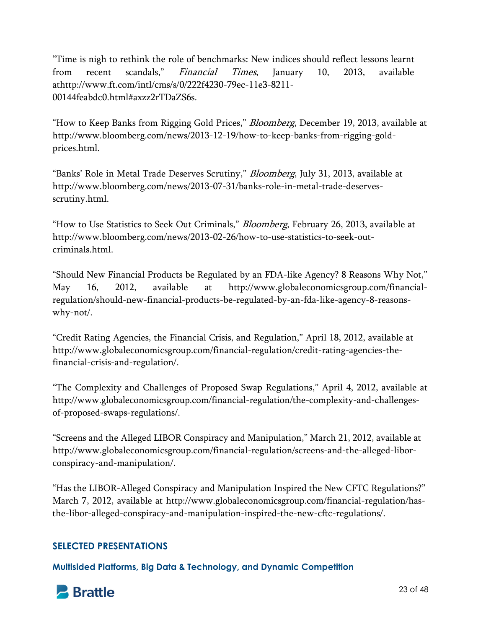"Time is nigh to rethink the role of benchmarks: New indices should reflect lessons learnt from recent scandals," *Financial Times*, January 10, 2013, available athttp://www.ft.com/intl/cms/s/0/222f4230-79ec-11e3-8211- 00144feabdc0.html#axzz2rTDaZS6s.

"How to Keep Banks from Rigging Gold Prices," *Bloomberg*, December 19, 2013, available at http://www.bloomberg.com/news/2013-12-19/how-to-keep-banks-from-rigging-goldprices.html.

"Banks' Role in Metal Trade Deserves Scrutiny," *Bloomberg*, July 31, 2013, available at http://www.bloomberg.com/news/2013-07-31/banks-role-in-metal-trade-deservesscrutiny.html.

"How to Use Statistics to Seek Out Criminals," *Bloomberg*, February 26, 2013, available at http://www.bloomberg.com/news/2013-02-26/how-to-use-statistics-to-seek-outcriminals.html.

"Should New Financial Products be Regulated by an FDA-like Agency? 8 Reasons Why Not," May 16, 2012, available at http://www.globaleconomicsgroup.com/financialregulation/should-new-financial-products-be-regulated-by-an-fda-like-agency-8-reasonswhy-not/.

"Credit Rating Agencies, the Financial Crisis, and Regulation," April 18, 2012, available at http://www.globaleconomicsgroup.com/financial-regulation/credit-rating-agencies-thefinancial-crisis-and-regulation/.

"The Complexity and Challenges of Proposed Swap Regulations," April 4, 2012, available at http://www.globaleconomicsgroup.com/financial-regulation/the-complexity-and-challengesof-proposed-swaps-regulations/.

"Screens and the Alleged LIBOR Conspiracy and Manipulation," March 21, 2012, available at http://www.globaleconomicsgroup.com/financial-regulation/screens-and-the-alleged-liborconspiracy-and-manipulation/.

"Has the LIBOR-Alleged Conspiracy and Manipulation Inspired the New CFTC Regulations?" March 7, 2012, available at http://www.globaleconomicsgroup.com/financial-regulation/hasthe-libor-alleged-conspiracy-and-manipulation-inspired-the-new-cftc-regulations/.

# **SELECTED PRESENTATIONS**

**Multisided Platforms, Big Data & Technology, and Dynamic Competition**

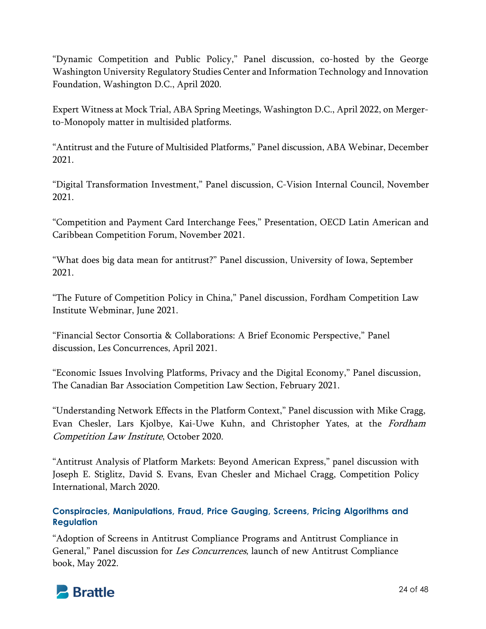"Dynamic Competition and Public Policy," Panel discussion, co-hosted by the George Washington University Regulatory Studies Center and Information Technology and Innovation Foundation, Washington D.C., April 2020.

Expert Witness at Mock Trial, ABA Spring Meetings, Washington D.C., April 2022, on Mergerto-Monopoly matter in multisided platforms.

"Antitrust and the Future of Multisided Platforms," Panel discussion, ABA Webinar, December 2021.

"Digital Transformation Investment," Panel discussion, C-Vision Internal Council, November 2021.

"Competition and Payment Card Interchange Fees," Presentation, OECD Latin American and Caribbean Competition Forum, November 2021.

"What does big data mean for antitrust?" Panel discussion, University of Iowa, September 2021.

"The Future of Competition Policy in China," Panel discussion, Fordham Competition Law Institute Webminar, June 2021.

"Financial Sector Consortia & Collaborations: A Brief Economic Perspective," Panel discussion, Les Concurrences, April 2021.

"Economic Issues Involving Platforms, Privacy and the Digital Economy," Panel discussion, The Canadian Bar Association Competition Law Section, February 2021.

"Understanding Network Effects in the Platform Context," Panel discussion with Mike Cragg, Evan Chesler, Lars Kjolbye, Kai-Uwe Kuhn, and Christopher Yates, at the Fordham Competition Law Institute, October 2020.

"Antitrust Analysis of Platform Markets: Beyond American Express," panel discussion with Joseph E. Stiglitz, David S. Evans, Evan Chesler and Michael Cragg, Competition Policy International, March 2020.

**Conspiracies, Manipulations, Fraud, Price Gauging, Screens, Pricing Algorithms and Regulation**

"Adoption of Screens in Antitrust Compliance Programs and Antitrust Compliance in General," Panel discussion for Les Concurrences, launch of new Antitrust Compliance book, May 2022.

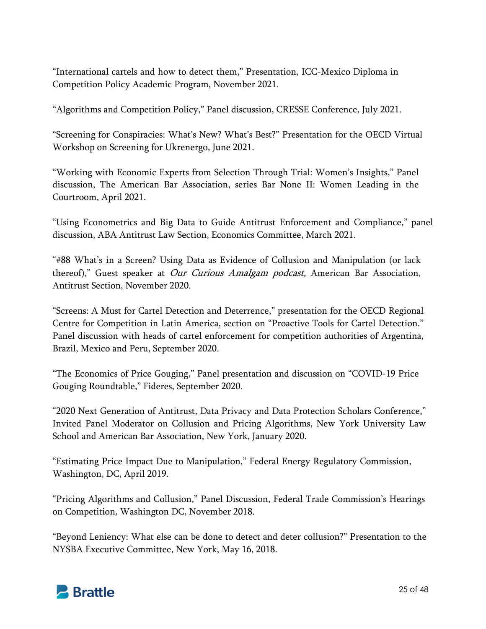"International cartels and how to detect them," Presentation, ICC-Mexico Diploma in Competition Policy Academic Program, November 2021.

"Algorithms and Competition Policy," Panel discussion, CRESSE Conference, July 2021.

"Screening for Conspiracies: What's New? What's Best?" Presentation for the OECD Virtual Workshop on Screening for Ukrenergo, June 2021.

"Working with Economic Experts from Selection Through Trial: Women's Insights," Panel discussion, The American Bar Association, series Bar None II: Women Leading in the Courtroom, April 2021.

"Using Econometrics and Big Data to Guide Antitrust Enforcement and Compliance," panel discussion, ABA Antitrust Law Section, Economics Committee, March 2021.

"#88 What's in a Screen? Using Data as Evidence of Collusion and Manipulation (or lack thereof)," Guest speaker at *Our Curious Amalgam podcast*, American Bar Association, Antitrust Section, November 2020.

"Screens: A Must for Cartel Detection and Deterrence," presentation for the OECD Regional Centre for Competition in Latin America, section on "Proactive Tools for Cartel Detection." Panel discussion with heads of cartel enforcement for competition authorities of Argentina, Brazil, Mexico and Peru, September 2020.

"The Economics of Price Gouging," Panel presentation and discussion on "COVID-19 Price Gouging Roundtable," Fideres, September 2020.

"2020 Next Generation of Antitrust, Data Privacy and Data Protection Scholars Conference," Invited Panel Moderator on Collusion and Pricing Algorithms, New York University Law School and American Bar Association, New York, January 2020.

"Estimating Price Impact Due to Manipulation," Federal Energy Regulatory Commission, Washington, DC, April 2019.

"Pricing Algorithms and Collusion," Panel Discussion, Federal Trade Commission's Hearings on Competition, Washington DC, November 2018.

"Beyond Leniency: What else can be done to detect and deter collusion?" Presentation to the NYSBA Executive Committee, New York, May 16, 2018.

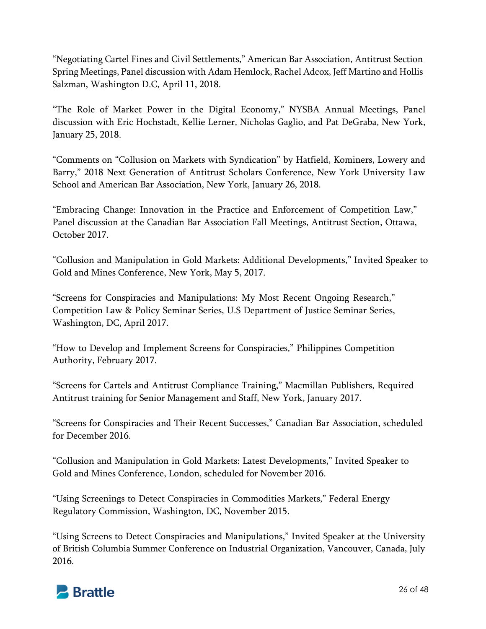"Negotiating Cartel Fines and Civil Settlements," American Bar Association, Antitrust Section Spring Meetings, Panel discussion with Adam Hemlock, Rachel Adcox, Jeff Martino and Hollis Salzman, Washington D.C, April 11, 2018.

"The Role of Market Power in the Digital Economy," NYSBA Annual Meetings, Panel discussion with Eric Hochstadt, Kellie Lerner, Nicholas Gaglio, and Pat DeGraba, New York, January 25, 2018.

"Comments on "Collusion on Markets with Syndication" by Hatfield, Kominers, Lowery and Barry," 2018 Next Generation of Antitrust Scholars Conference, New York University Law School and American Bar Association, New York, January 26, 2018.

"Embracing Change: Innovation in the Practice and Enforcement of Competition Law," Panel discussion at the Canadian Bar Association Fall Meetings, Antitrust Section, Ottawa, October 2017.

"Collusion and Manipulation in Gold Markets: Additional Developments," Invited Speaker to Gold and Mines Conference, New York, May 5, 2017.

"Screens for Conspiracies and Manipulations: My Most Recent Ongoing Research," Competition Law & Policy Seminar Series, U.S Department of Justice Seminar Series, Washington, DC, April 2017.

"How to Develop and Implement Screens for Conspiracies," Philippines Competition Authority, February 2017.

"Screens for Cartels and Antitrust Compliance Training," Macmillan Publishers, Required Antitrust training for Senior Management and Staff, New York, January 2017.

"Screens for Conspiracies and Their Recent Successes," Canadian Bar Association, scheduled for December 2016.

"Collusion and Manipulation in Gold Markets: Latest Developments," Invited Speaker to Gold and Mines Conference, London, scheduled for November 2016.

"Using Screenings to Detect Conspiracies in Commodities Markets," Federal Energy Regulatory Commission, Washington, DC, November 2015.

"Using Screens to Detect Conspiracies and Manipulations," Invited Speaker at the University of British Columbia Summer Conference on Industrial Organization, Vancouver, Canada, July 2016.

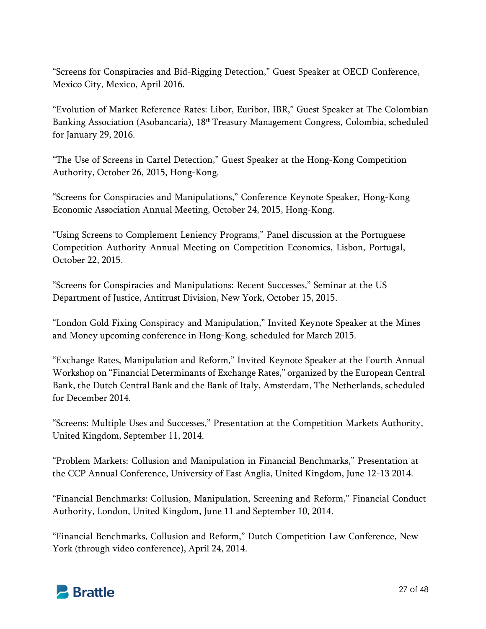"Screens for Conspiracies and Bid-Rigging Detection," Guest Speaker at OECD Conference, Mexico City, Mexico, April 2016.

"Evolution of Market Reference Rates: Libor, Euribor, IBR," Guest Speaker at The Colombian Banking Association (Asobancaria), 18<sup>th</sup> Treasury Management Congress, Colombia, scheduled for January 29, 2016.

"The Use of Screens in Cartel Detection," Guest Speaker at the Hong-Kong Competition Authority, October 26, 2015, Hong-Kong.

"Screens for Conspiracies and Manipulations," Conference Keynote Speaker, Hong-Kong Economic Association Annual Meeting, October 24, 2015, Hong-Kong.

"Using Screens to Complement Leniency Programs," Panel discussion at the Portuguese Competition Authority Annual Meeting on Competition Economics, Lisbon, Portugal, October 22, 2015.

"Screens for Conspiracies and Manipulations: Recent Successes," Seminar at the US Department of Justice, Antitrust Division, New York, October 15, 2015.

"London Gold Fixing Conspiracy and Manipulation," Invited Keynote Speaker at the Mines and Money upcoming conference in Hong-Kong, scheduled for March 2015.

"Exchange Rates, Manipulation and Reform," Invited Keynote Speaker at the Fourth Annual Workshop on "Financial Determinants of Exchange Rates," organized by the European Central Bank, the Dutch Central Bank and the Bank of Italy, Amsterdam, The Netherlands, scheduled for December 2014.

"Screens: Multiple Uses and Successes," Presentation at the Competition Markets Authority, United Kingdom, September 11, 2014.

"Problem Markets: Collusion and Manipulation in Financial Benchmarks," Presentation at the CCP Annual Conference, University of East Anglia, United Kingdom, June 12-13 2014.

"Financial Benchmarks: Collusion, Manipulation, Screening and Reform," Financial Conduct Authority, London, United Kingdom, June 11 and September 10, 2014.

"Financial Benchmarks, Collusion and Reform," Dutch Competition Law Conference, New York (through video conference), April 24, 2014.

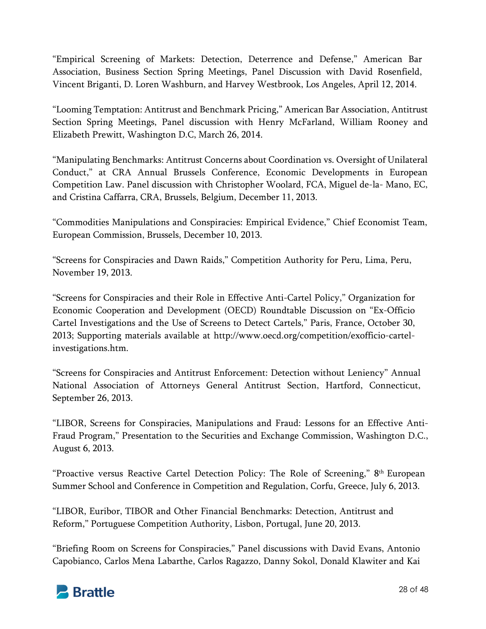"Empirical Screening of Markets: Detection, Deterrence and Defense," American Bar Association, Business Section Spring Meetings, Panel Discussion with David Rosenfield, Vincent Briganti, D. Loren Washburn, and Harvey Westbrook, Los Angeles, April 12, 2014.

"Looming Temptation: Antitrust and Benchmark Pricing," American Bar Association, Antitrust Section Spring Meetings, Panel discussion with Henry McFarland, William Rooney and Elizabeth Prewitt, Washington D.C, March 26, 2014.

"Manipulating Benchmarks: Antitrust Concerns about Coordination vs. Oversight of Unilateral Conduct," at CRA Annual Brussels Conference, Economic Developments in European Competition Law. Panel discussion with Christopher Woolard, FCA, Miguel de-la- Mano, EC, and Cristina Caffarra, CRA, Brussels, Belgium, December 11, 2013.

"Commodities Manipulations and Conspiracies: Empirical Evidence," Chief Economist Team, European Commission, Brussels, December 10, 2013.

"Screens for Conspiracies and Dawn Raids," Competition Authority for Peru, Lima, Peru, November 19, 2013.

"Screens for Conspiracies and their Role in Effective Anti-Cartel Policy," Organization for Economic Cooperation and Development (OECD) Roundtable Discussion on "Ex-Officio Cartel Investigations and the Use of Screens to Detect Cartels," Paris, France, October 30, 2013; Supporting materials available at http://www.oecd.org/competition/exofficio-cartelinvestigations.htm.

"Screens for Conspiracies and Antitrust Enforcement: Detection without Leniency" Annual National Association of Attorneys General Antitrust Section, Hartford, Connecticut, September 26, 2013.

"LIBOR, Screens for Conspiracies, Manipulations and Fraud: Lessons for an Effective Anti-Fraud Program," Presentation to the Securities and Exchange Commission, Washington D.C., August 6, 2013.

"Proactive versus Reactive Cartel Detection Policy: The Role of Screening," 8th European Summer School and Conference in Competition and Regulation, Corfu, Greece, July 6, 2013.

"LIBOR, Euribor, TIBOR and Other Financial Benchmarks: Detection, Antitrust and Reform," Portuguese Competition Authority, Lisbon, Portugal, June 20, 2013.

"Briefing Room on Screens for Conspiracies," Panel discussions with David Evans, Antonio Capobianco, Carlos Mena Labarthe, Carlos Ragazzo, Danny Sokol, Donald Klawiter and Kai

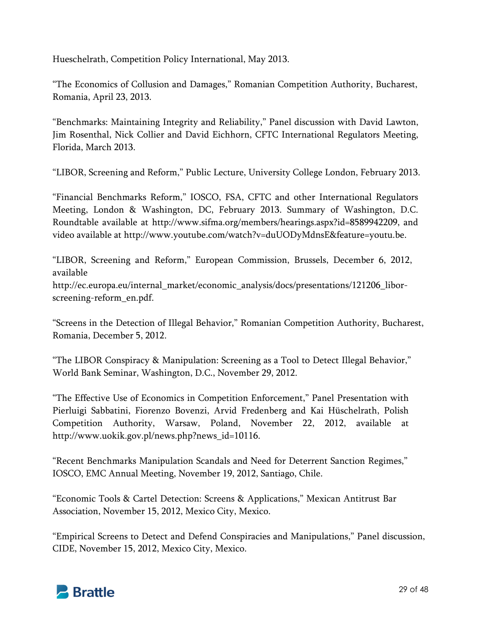Hueschelrath, Competition Policy International, May 2013.

"The Economics of Collusion and Damages," Romanian Competition Authority, Bucharest, Romania, April 23, 2013.

"Benchmarks: Maintaining Integrity and Reliability," Panel discussion with David Lawton, Jim Rosenthal, Nick Collier and David Eichhorn, CFTC International Regulators Meeting, Florida, March 2013.

"LIBOR, Screening and Reform," Public Lecture, University College London, February 2013.

"Financial Benchmarks Reform," IOSCO, FSA, CFTC and other International Regulators Meeting, London & Washington, DC, February 2013. Summary of Washington, D.C. Roundtable available at http://www.sifma.org/members/hearings.aspx?id=8589942209, and video available at http://www.youtube.com/watch?v=duUODyMdnsE&feature=youtu.be.

"LIBOR, Screening and Reform," European Commission, Brussels, December 6, 2012, available http://ec.europa.eu/internal\_market/economic\_analysis/docs/presentations/121206\_liborscreening-reform\_en.pdf.

"Screens in the Detection of Illegal Behavior," Romanian Competition Authority, Bucharest, Romania, December 5, 2012.

"The LIBOR Conspiracy & Manipulation: Screening as a Tool to Detect Illegal Behavior," World Bank Seminar, Washington, D.C., November 29, 2012.

"The Effective Use of Economics in Competition Enforcement," Panel Presentation with Pierluigi Sabbatini, Fiorenzo Bovenzi, Arvid Fredenberg and Kai Hüschelrath, Polish Competition Authority, Warsaw, Poland, November 22, 2012, available at http://www.uokik.gov.pl/news.php?news\_id=10116.

"Recent Benchmarks Manipulation Scandals and Need for Deterrent Sanction Regimes," IOSCO, EMC Annual Meeting, November 19, 2012, Santiago, Chile.

"Economic Tools & Cartel Detection: Screens & Applications," Mexican Antitrust Bar Association, November 15, 2012, Mexico City, Mexico.

"Empirical Screens to Detect and Defend Conspiracies and Manipulations," Panel discussion, CIDE, November 15, 2012, Mexico City, Mexico.

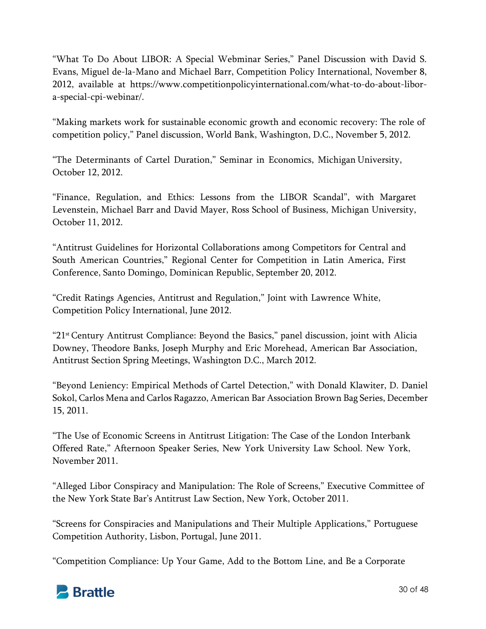"What To Do About LIBOR: A Special Webminar Series," Panel Discussion with David S. Evans, Miguel de-la-Mano and Michael Barr, Competition Policy International, November 8, 2012, available at https://www.competitionpolicyinternational.com/what-to-do-about-libora-special-cpi-webinar/.

"Making markets work for sustainable economic growth and economic recovery: The role of competition policy," Panel discussion, World Bank, Washington, D.C., November 5, 2012.

"The Determinants of Cartel Duration," Seminar in Economics, Michigan University, October 12, 2012.

"Finance, Regulation, and Ethics: Lessons from the LIBOR Scandal", with Margaret Levenstein, Michael Barr and David Mayer, Ross School of Business, Michigan University, October 11, 2012.

"Antitrust Guidelines for Horizontal Collaborations among Competitors for Central and South American Countries," Regional Center for Competition in Latin America, First Conference, Santo Domingo, Dominican Republic, September 20, 2012.

"Credit Ratings Agencies, Antitrust and Regulation," Joint with Lawrence White, Competition Policy International, June 2012.

"21st Century Antitrust Compliance: Beyond the Basics," panel discussion, joint with Alicia Downey, Theodore Banks, Joseph Murphy and Eric Morehead, American Bar Association, Antitrust Section Spring Meetings, Washington D.C., March 2012.

"Beyond Leniency: Empirical Methods of Cartel Detection," with Donald Klawiter, D. Daniel Sokol, Carlos Mena and Carlos Ragazzo, American Bar Association Brown Bag Series, December 15, 2011.

"The Use of Economic Screens in Antitrust Litigation: The Case of the London Interbank Offered Rate," Afternoon Speaker Series, New York University Law School. New York, November 2011.

"Alleged Libor Conspiracy and Manipulation: The Role of Screens," Executive Committee of the New York State Bar's Antitrust Law Section, New York, October 2011.

"Screens for Conspiracies and Manipulations and Their Multiple Applications," Portuguese Competition Authority, Lisbon, Portugal, June 2011.

"Competition Compliance: Up Your Game, Add to the Bottom Line, and Be a Corporate

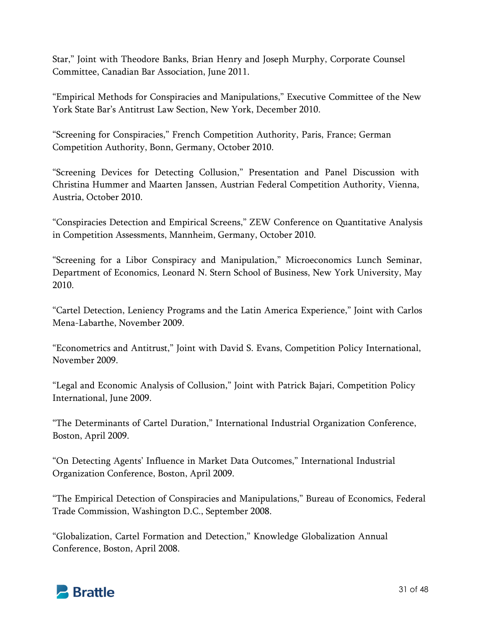Star," Joint with Theodore Banks, Brian Henry and Joseph Murphy, Corporate Counsel Committee, Canadian Bar Association, June 2011.

"Empirical Methods for Conspiracies and Manipulations," Executive Committee of the New York State Bar's Antitrust Law Section, New York, December 2010.

"Screening for Conspiracies," French Competition Authority, Paris, France; German Competition Authority, Bonn, Germany, October 2010.

"Screening Devices for Detecting Collusion," Presentation and Panel Discussion with Christina Hummer and Maarten Janssen, Austrian Federal Competition Authority, Vienna, Austria, October 2010.

"Conspiracies Detection and Empirical Screens," ZEW Conference on Quantitative Analysis in Competition Assessments, Mannheim, Germany, October 2010.

"Screening for a Libor Conspiracy and Manipulation," Microeconomics Lunch Seminar, Department of Economics, Leonard N. Stern School of Business, New York University, May 2010.

"Cartel Detection, Leniency Programs and the Latin America Experience," Joint with Carlos Mena-Labarthe, November 2009.

"Econometrics and Antitrust," Joint with David S. Evans, Competition Policy International, November 2009.

"Legal and Economic Analysis of Collusion," Joint with Patrick Bajari, Competition Policy International, June 2009.

"The Determinants of Cartel Duration," International Industrial Organization Conference, Boston, April 2009.

"On Detecting Agents' Influence in Market Data Outcomes," International Industrial Organization Conference, Boston, April 2009.

"The Empirical Detection of Conspiracies and Manipulations," Bureau of Economics, Federal Trade Commission, Washington D.C., September 2008.

"Globalization, Cartel Formation and Detection," Knowledge Globalization Annual Conference, Boston, April 2008.

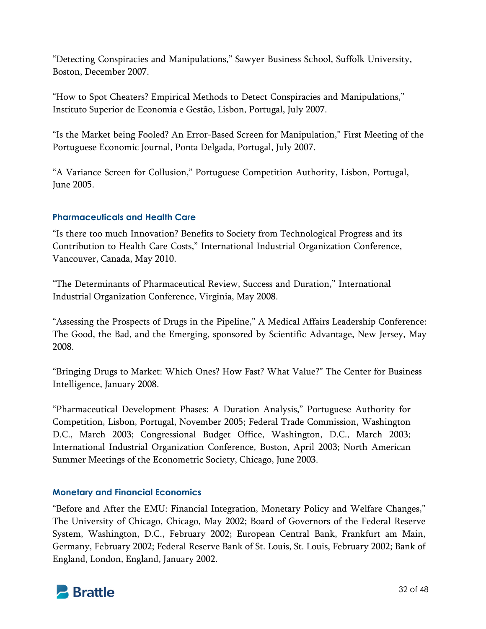"Detecting Conspiracies and Manipulations," Sawyer Business School, Suffolk University, Boston, December 2007.

"How to Spot Cheaters? Empirical Methods to Detect Conspiracies and Manipulations," Instituto Superior de Economia e Gestão, Lisbon, Portugal, July 2007.

"Is the Market being Fooled? An Error-Based Screen for Manipulation," First Meeting of the Portuguese Economic Journal, Ponta Delgada, Portugal, July 2007.

"A Variance Screen for Collusion," Portuguese Competition Authority, Lisbon, Portugal, June 2005.

# **Pharmaceuticals and Health Care**

"Is there too much Innovation? Benefits to Society from Technological Progress and its Contribution to Health Care Costs," International Industrial Organization Conference, Vancouver, Canada, May 2010.

"The Determinants of Pharmaceutical Review, Success and Duration," International Industrial Organization Conference, Virginia, May 2008.

"Assessing the Prospects of Drugs in the Pipeline," A Medical Affairs Leadership Conference: The Good, the Bad, and the Emerging, sponsored by Scientific Advantage, New Jersey, May 2008.

"Bringing Drugs to Market: Which Ones? How Fast? What Value?" The Center for Business Intelligence, January 2008.

"Pharmaceutical Development Phases: A Duration Analysis," Portuguese Authority for Competition, Lisbon, Portugal, November 2005; Federal Trade Commission, Washington D.C., March 2003; Congressional Budget Office, Washington, D.C., March 2003; International Industrial Organization Conference, Boston, April 2003; North American Summer Meetings of the Econometric Society, Chicago, June 2003.

## **Monetary and Financial Economics**

"Before and After the EMU: Financial Integration, Monetary Policy and Welfare Changes," The University of Chicago, Chicago, May 2002; Board of Governors of the Federal Reserve System, Washington, D.C., February 2002; European Central Bank, Frankfurt am Main, Germany, February 2002; Federal Reserve Bank of St. Louis, St. Louis, February 2002; Bank of England, London, England, January 2002.

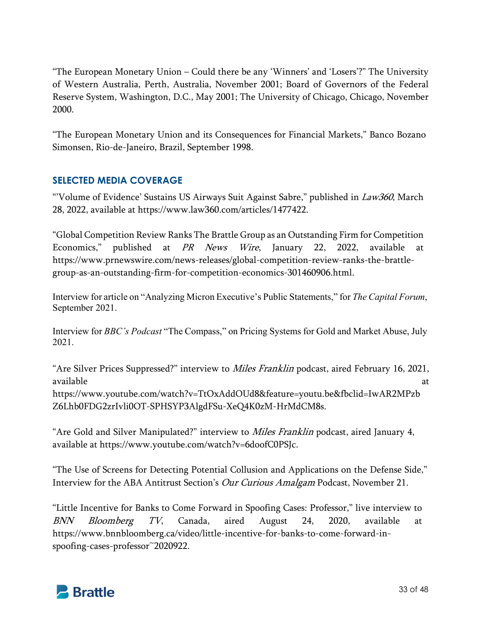"The European Monetary Union – Could there be any 'Winners' and 'Losers'?" The University of Western Australia, Perth, Australia, November 2001; Board of Governors of the Federal Reserve System, Washington, D.C., May 2001; The University of Chicago, Chicago, November 2000.

"The European Monetary Union and its Consequences for Financial Markets," Banco Bozano Simonsen, Rio-de-Janeiro, Brazil, September 1998.

# **SELECTED MEDIA COVERAGE**

"Volume of Evidence' Sustains US Airways Suit Against Sabre," published in Law360, March 28, 2022, available at https://www.law360.com/articles/1477422.

"Global Competition Review Ranks The Brattle Group as an Outstanding Firm for Competition Economics," published at PR News Wire, January 22, 2022, available at https://www.prnewswire.com/news-releases/global-competition-review-ranks-the-brattlegroup-as-an-outstanding-firm-for-competition-economics-301460906.html.

Interview for article on "Analyzing Micron Executive's Public Statements," for *The Capital Forum*, September 2021.

Interview for *BBC's Podcast* "The Compass," on Pricing Systems for Gold and Market Abuse, July 2021.

"Are Silver Prices Suppressed?" interview to *Miles Franklin* podcast, aired February 16, 2021, available at a state of the state of the state  $\alpha$  at a state of the state  $\alpha$ https://www.youtube.com/watch?v=TtOxAddOUd8&feature=youtu.be&fbclid=IwAR2MPzb Z6Lhb0FDG2zrIvli0OT-SPHSYP3AlgdFSu-XeQ4K0zM-HrMdCM8s.

"Are Gold and Silver Manipulated?" interview to *Miles Franklin* podcast, aired January 4, available at https://www.youtube.com/watch?v=6doofC0PSJc.

"The Use of Screens for Detecting Potential Collusion and Applications on the Defense Side," Interview for the ABA Antitrust Section's Our Curious Amalgam Podcast, November 21.

"Little Incentive for Banks to Come Forward in Spoofing Cases: Professor," live interview to BNN Bloomberg TV, Canada, aired August 24, 2020, available at https://www.bnnbloomberg.ca/video/little-incentive-for-banks-to-come-forward-inspoofing-cases-professor~2020922.

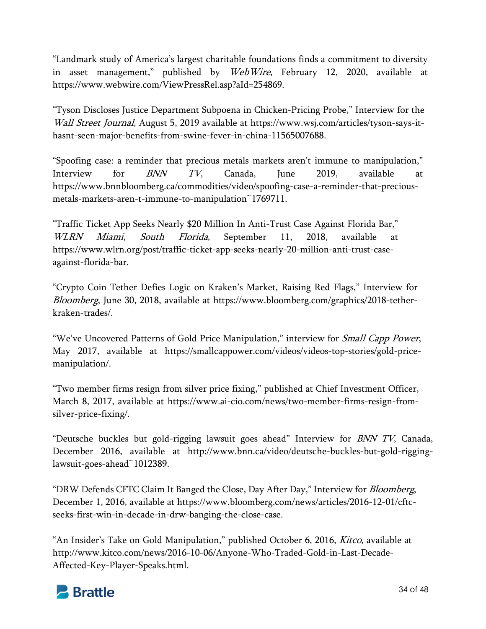"Landmark study of America's largest charitable foundations finds a commitment to diversity in asset management," published by *WebWire*, February 12, 2020, available at https://www.webwire.com/ViewPressRel.asp?aId=254869.

"Tyson Discloses Justice Department Subpoena in Chicken-Pricing Probe," Interview for the Wall Street Journal, August 5, 2019 available at https://www.wsj.com/articles/tyson-says-ithasnt-seen-major-benefits-from-swine-fever-in-china-11565007688.

"Spoofing case: a reminder that precious metals markets aren't immune to manipulation," Interview for  $\mathit{BNN}$   $\mathit{TV},$  Canada, June 2019, available at https://www.bnnbloomberg.ca/commodities/video/spoofing-case-a-reminder-that-preciousmetals-markets-aren-t-immune-to-manipulation~1769711.

"Traffic Ticket App Seeks Nearly \$20 Million In Anti-Trust Case Against Florida Bar," WLRN Miami, South Florida, September 11, 2018, available at https://www.wlrn.org/post/traffic-ticket-app-seeks-nearly-20-million-anti-trust-caseagainst-florida-bar.

"Crypto Coin Tether Defies Logic on Kraken's Market, Raising Red Flags," Interview for Bloomberg, June 30, 2018, available at https://www.bloomberg.com/graphics/2018-tetherkraken-trades/.

"We've Uncovered Patterns of Gold Price Manipulation," interview for *Small Capp Power*, May 2017, available at https://smallcappower.com/videos/videos-top-stories/gold-pricemanipulation/.

"Two member firms resign from silver price fixing," published at Chief Investment Officer, March 8, 2017, available at https://www.ai-cio.com/news/two-member-firms-resign-fromsilver-price-fixing/.

"Deutsche buckles but gold-rigging lawsuit goes ahead" Interview for *BNN TV*, Canada, December 2016, available at http://www.bnn.ca/video/deutsche-buckles-but-gold-rigginglawsuit-goes-ahead~1012389.

"DRW Defends CFTC Claim It Banged the Close, Day After Day," Interview for *Bloomberg*, December 1, 2016, available at https://www.bloomberg.com/news/articles/2016-12-01/cftcseeks-first-win-in-decade-in-drw-banging-the-close-case.

"An Insider's Take on Gold Manipulation," published October 6, 2016, *Kitco*, available at http://www.kitco.com/news/2016-10-06/Anyone-Who-Traded-Gold-in-Last-Decade-Affected-Key-Player-Speaks.html.

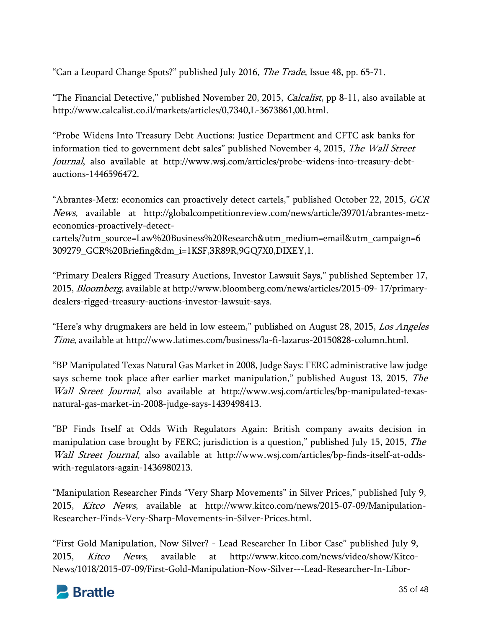"Can a Leopard Change Spots?" published July 2016, *The Trade*, Issue 48, pp. 65-71.

"The Financial Detective," published November 20, 2015, *Calcalist*, pp 8-11, also available at http://www.calcalist.co.il/markets/articles/0,7340,L-3673861,00.html.

"Probe Widens Into Treasury Debt Auctions: Justice Department and CFTC ask banks for information tied to government debt sales" published November 4, 2015, The Wall Street Journal, also available at http://www.wsj.com/articles/probe-widens-into-treasury-debtauctions-1446596472.

"Abrantes-Metz: economics can proactively detect cartels," published October 22, 2015, *GCR* News, available at http://globalcompetitionreview.com/news/article/39701/abrantes-metzeconomics-proactively-detect-

cartels/?utm\_source=Law%20Business%20Research&utm\_medium=email&utm\_campaign=6 309279\_GCR%20Briefing&dm\_i=1KSF,3R89R,9GQ7X0,DIXEY,1.

"Primary Dealers Rigged Treasury Auctions, Investor Lawsuit Says," published September 17, 2015, Bloomberg, available at http://www.bloomberg.com/news/articles/2015-09- 17/primarydealers-rigged-treasury-auctions-investor-lawsuit-says.

"Here's why drugmakers are held in low esteem," published on August 28, 2015, Los Angeles Time, available at http://www.latimes.com/business/la-fi-lazarus-20150828-column.html.

"BP Manipulated Texas Natural Gas Market in 2008, Judge Says: FERC administrative law judge says scheme took place after earlier market manipulation," published August 13, 2015, *The* Wall Street Journal, also available at http://www.wsj.com/articles/bp-manipulated-texasnatural-gas-market-in-2008-judge-says-1439498413.

"BP Finds Itself at Odds With Regulators Again: British company awaits decision in manipulation case brought by FERC; jurisdiction is a question," published July 15, 2015, *The* Wall Street Journal, also available at http://www.wsj.com/articles/bp-finds-itself-at-oddswith-regulators-again-1436980213.

"Manipulation Researcher Finds "Very Sharp Movements" in Silver Prices," published July 9, 2015, Kitco News, available at http://www.kitco.com/news/2015-07-09/Manipulation-Researcher-Finds-Very-Sharp-Movements-in-Silver-Prices.html.

"First Gold Manipulation, Now Silver? - Lead Researcher In Libor Case" published July 9, 2015, Kitco News, available at http://www.kitco.com/news/video/show/Kitco-News/1018/2015-07-09/First-Gold-Manipulation-Now-Silver---Lead-Researcher-In-Libor-

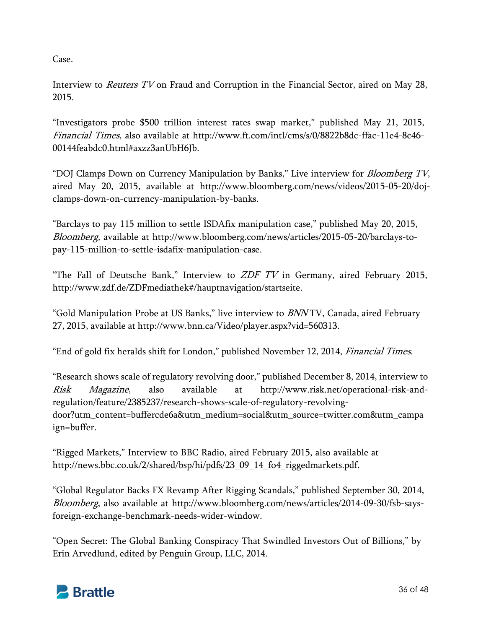Case.

Interview to *Reuters TV* on Fraud and Corruption in the Financial Sector, aired on May 28, 2015.

"Investigators probe \$500 trillion interest rates swap market," published May 21, 2015, Financial Times, also available at http://www.ft.com/intl/cms/s/0/8822b8dc-ffac-11e4-8c46- 00144feabdc0.html#axzz3anUbH6Jb.

"DOJ Clamps Down on Currency Manipulation by Banks," Live interview for *Bloomberg TV*, aired May 20, 2015, available at http://www.bloomberg.com/news/videos/2015-05-20/dojclamps-down-on-currency-manipulation-by-banks.

"Barclays to pay 115 million to settle ISDAfix manipulation case," published May 20, 2015, Bloomberg, available at http://www.bloomberg.com/news/articles/2015-05-20/barclays-topay-115-million-to-settle-isdafix-manipulation-case.

"The Fall of Deutsche Bank," Interview to  $ZDF$  TV in Germany, aired February 2015, http://www.zdf.de/ZDFmediathek#/hauptnavigation/startseite.

"Gold Manipulation Probe at US Banks," live interview to *BNN* TV, Canada, aired February 27, 2015, available at http://www.bnn.ca/Video/player.aspx?vid=560313.

"End of gold fix heralds shift for London," published November 12, 2014, Financial Times.

"Research shows scale of regulatory revolving door," published December 8, 2014, interview to Risk Magazine, also available at http://www.risk.net/operational-risk-andregulation/feature/2385237/research-shows-scale-of-regulatory-revolvingdoor?utm\_content=buffercde6a&utm\_medium=social&utm\_source=twitter.com&utm\_campa ign=buffer.

"Rigged Markets," Interview to BBC Radio, aired February 2015, also available at http://news.bbc.co.uk/2/shared/bsp/hi/pdfs/23\_09\_14\_fo4\_riggedmarkets.pdf.

"Global Regulator Backs FX Revamp After Rigging Scandals," published September 30, 2014, Bloomberg, also available at http://www.bloomberg.com/news/articles/2014-09-30/fsb-saysforeign-exchange-benchmark-needs-wider-window.

"Open Secret: The Global Banking Conspiracy That Swindled Investors Out of Billions," by Erin Arvedlund, edited by Penguin Group, LLC, 2014.

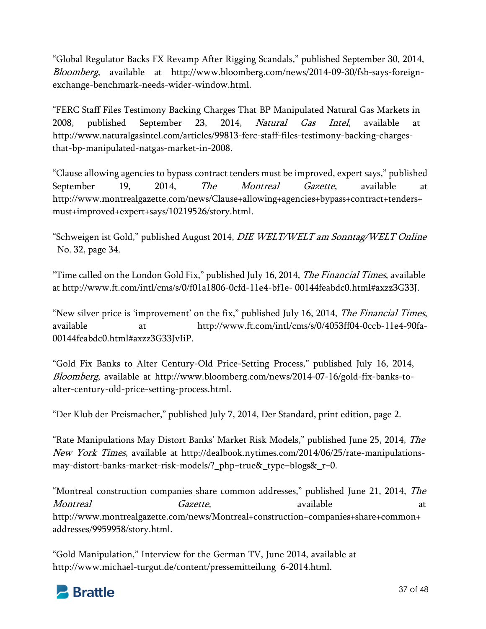"Global Regulator Backs FX Revamp After Rigging Scandals," published September 30, 2014, Bloomberg, available at http://www.bloomberg.com/news/2014-09-30/fsb-says-foreignexchange-benchmark-needs-wider-window.html.

"FERC Staff Files Testimony Backing Charges That BP Manipulated Natural Gas Markets in 2008, published September 23, 2014, *Natural Gas Intel*, available at http://www.naturalgasintel.com/articles/99813-ferc-staff-files-testimony-backing-chargesthat-bp-manipulated-natgas-market-in-2008.

"Clause allowing agencies to bypass contract tenders must be improved, expert says," published September 19, 2014, *The Montreal Gazette*, available at http://www.montrealgazette.com/news/Clause+allowing+agencies+bypass+contract+tenders+ must+improved+expert+says/10219526/story.html.

"Schweigen ist Gold," published August 2014, DIE WELT/WELT am Sonntag/WELT Online No. 32, page 34.

"Time called on the London Gold Fix," published July 16, 2014, *The Financial Times*, available at http://www.ft.com/intl/cms/s/0/f01a1806-0cfd-11e4-bf1e- 00144feabdc0.html#axzz3G33J.

"New silver price is 'improvement' on the fix," published July 16, 2014, *The Financial Times*, available at http://www.ft.com/intl/cms/s/0/4053ff04-0ccb-11e4-90fa-00144feabdc0.html#axzz3G33JvIiP.

"Gold Fix Banks to Alter Century-Old Price-Setting Process," published July 16, 2014, Bloomberg, available at http://www.bloomberg.com/news/2014-07-16/gold-fix-banks-toalter-century-old-price-setting-process.html.

"Der Klub der Preismacher," published July 7, 2014, Der Standard, print edition, page 2.

"Rate Manipulations May Distort Banks' Market Risk Models," published June 25, 2014, The New York Times, available at http://dealbook.nytimes.com/2014/06/25/rate-manipulationsmay-distort-banks-market-risk-models/?\_php=true&\_type=blogs&\_r=0.

"Montreal construction companies share common addresses," published June 21, 2014, The Montreal Gazette, available available at http://www.montrealgazette.com/news/Montreal+construction+companies+share+common+ addresses/9959958/story.html.

"Gold Manipulation," Interview for the German TV, June 2014, available at http://www.michael-turgut.de/content/pressemitteilung\_6-2014.html.

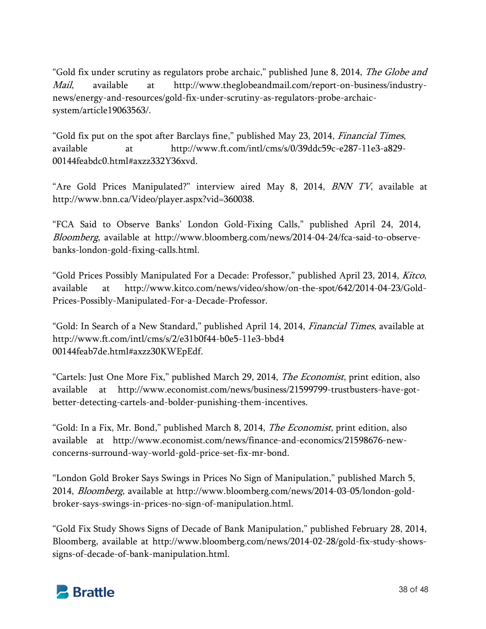"Gold fix under scrutiny as regulators probe archaic," published June 8, 2014, *The Globe and* Mail, available at http://www.theglobeandmail.com/report-on-business/industrynews/energy-and-resources/gold-fix-under-scrutiny-as-regulators-probe-archaicsystem/article19063563/.

"Gold fix put on the spot after Barclays fine," published May 23, 2014, *Financial Times*, available at http://www.ft.com/intl/cms/s/0/39ddc59c-e287-11e3-a829- 00144feabdc0.html#axzz332Y36xvd.

"Are Gold Prices Manipulated?" interview aired May 8, 2014, BNN TV, available at http://www.bnn.ca/Video/player.aspx?vid=360038.

"FCA Said to Observe Banks' London Gold-Fixing Calls," published April 24, 2014, Bloomberg, available at http://www.bloomberg.com/news/2014-04-24/fca-said-to-observebanks-london-gold-fixing-calls.html.

"Gold Prices Possibly Manipulated For a Decade: Professor," published April 23, 2014, Kitco, available at http://www.kitco.com/news/video/show/on-the-spot/642/2014-04-23/Gold-Prices-Possibly-Manipulated-For-a-Decade-Professor.

"Gold: In Search of a New Standard," published April 14, 2014, Financial Times, available at http://www.ft.com/intl/cms/s/2/e31b0f44-b0e5-11e3-bbd4 00144feab7de.html#axzz30KWEpEdf.

"Cartels: Just One More Fix," published March 29, 2014, *The Economist*, print edition, also available at http://www.economist.com/news/business/21599799-trustbusters-have-gotbetter-detecting-cartels-and-bolder-punishing-them-incentives.

"Gold: In a Fix, Mr. Bond," published March 8, 2014, *The Economist*, print edition, also available at http://www.economist.com/news/finance-and-economics/21598676-newconcerns-surround-way-world-gold-price-set-fix-mr-bond.

"London Gold Broker Says Swings in Prices No Sign of Manipulation," published March 5, 2014, Bloomberg, available at http://www.bloomberg.com/news/2014-03-05/london-goldbroker-says-swings-in-prices-no-sign-of-manipulation.html.

"Gold Fix Study Shows Signs of Decade of Bank Manipulation," published February 28, 2014, Bloomberg, available at http://www.bloomberg.com/news/2014-02-28/gold-fix-study-showssigns-of-decade-of-bank-manipulation.html.

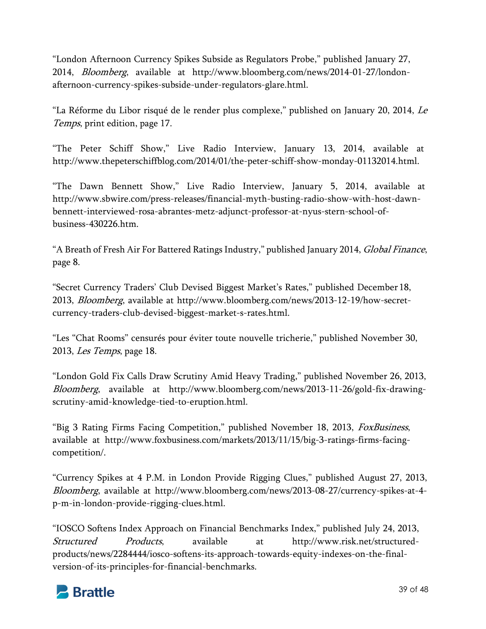"London Afternoon Currency Spikes Subside as Regulators Probe," published January 27, 2014, Bloomberg, available at http://www.bloomberg.com/news/2014-01-27/londonafternoon-currency-spikes-subside-under-regulators-glare.html.

"La Réforme du Libor risqué de le render plus complexe," published on January 20, 2014, Le Temps, print edition, page 17.

"The Peter Schiff Show," Live Radio Interview, January 13, 2014, available at http://www.thepeterschiffblog.com/2014/01/the-peter-schiff-show-monday-01132014.html.

"The Dawn Bennett Show," Live Radio Interview, January 5, 2014, available at http://www.sbwire.com/press-releases/financial-myth-busting-radio-show-with-host-dawnbennett-interviewed-rosa-abrantes-metz-adjunct-professor-at-nyus-stern-school-ofbusiness-430226.htm.

"A Breath of Fresh Air For Battered Ratings Industry," published January 2014, *Global Finance*, page 8.

"Secret Currency Traders' Club Devised Biggest Market's Rates," published December 18, 2013, Bloomberg, available at http://www.bloomberg.com/news/2013-12-19/how-secretcurrency-traders-club-devised-biggest-market-s-rates.html.

"Les "Chat Rooms" censurés pour éviter toute nouvelle tricherie," published November 30, 2013, Les Temps, page 18.

"London Gold Fix Calls Draw Scrutiny Amid Heavy Trading," published November 26, 2013, Bloomberg, available at http://www.bloomberg.com/news/2013-11-26/gold-fix-drawingscrutiny-amid-knowledge-tied-to-eruption.html.

"Big 3 Rating Firms Facing Competition," published November 18, 2013, *FoxBusiness*, available at http://www.foxbusiness.com/markets/2013/11/15/big-3-ratings-firms-facingcompetition/.

"Currency Spikes at 4 P.M. in London Provide Rigging Clues," published August 27, 2013, Bloomberg, available at http://www.bloomberg.com/news/2013-08-27/currency-spikes-at-4 p-m-in-london-provide-rigging-clues.html.

"IOSCO Softens Index Approach on Financial Benchmarks Index," published July 24, 2013, Structured Products, available at http://www.risk.net/structuredproducts/news/2284444/iosco-softens-its-approach-towards-equity-indexes-on-the-finalversion-of-its-principles-for-financial-benchmarks.

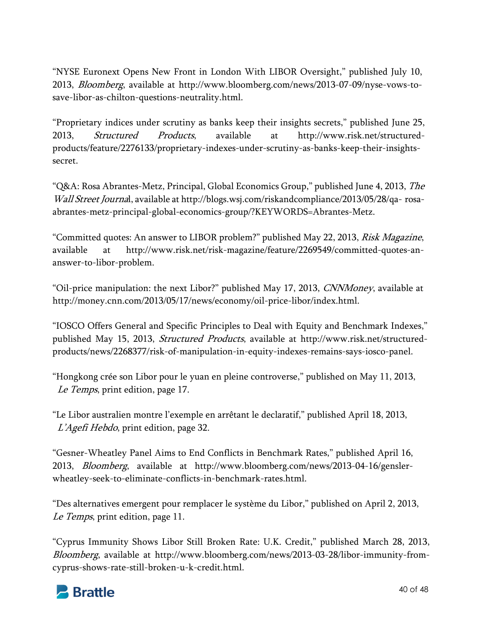"NYSE Euronext Opens New Front in London With LIBOR Oversight," published July 10, 2013, Bloomberg, available at http://www.bloomberg.com/news/2013-07-09/nyse-vows-tosave-libor-as-chilton-questions-neutrality.html.

"Proprietary indices under scrutiny as banks keep their insights secrets," published June 25, 2013, Structured Products, available at http://www.risk.net/structuredproducts/feature/2276133/proprietary-indexes-under-scrutiny-as-banks-keep-their-insightssecret.

"Q&A: Rosa Abrantes-Metz, Principal, Global Economics Group," published June 4, 2013, The Wall Street Journal, available at http://blogs.wsj.com/riskandcompliance/2013/05/28/qa- rosaabrantes-metz-principal-global-economics-group/?KEYWORDS=Abrantes-Metz.

"Committed quotes: An answer to LIBOR problem?" published May 22, 2013, *Risk Magazine*, available at http://www.risk.net/risk-magazine/feature/2269549/committed-quotes-ananswer-to-libor-problem.

"Oil-price manipulation: the next Libor?" published May 17, 2013, *CNNMoney*, available at http://money.cnn.com/2013/05/17/news/economy/oil-price-libor/index.html.

"IOSCO Offers General and Specific Principles to Deal with Equity and Benchmark Indexes," published May 15, 2013, Structured Products, available at http://www.risk.net/structuredproducts/news/2268377/risk-of-manipulation-in-equity-indexes-remains-says-iosco-panel.

"Hongkong crée son Libor pour le yuan en pleine controverse," published on May 11, 2013, Le Temps, print edition, page 17.

"Le Libor australien montre l'exemple en arrêtant le declaratif," published April 18, 2013, L'Agefi Hebdo, print edition, page 32.

"Gesner-Wheatley Panel Aims to End Conflicts in Benchmark Rates," published April 16, 2013, Bloomberg, available at http://www.bloomberg.com/news/2013-04-16/genslerwheatley-seek-to-eliminate-conflicts-in-benchmark-rates.html.

"Des alternatives emergent pour remplacer le système du Libor," published on April 2, 2013, Le Temps, print edition, page 11.

"Cyprus Immunity Shows Libor Still Broken Rate: U.K. Credit," published March 28, 2013, Bloomberg, available at http://www.bloomberg.com/news/2013-03-28/libor-immunity-fromcyprus-shows-rate-still-broken-u-k-credit.html.

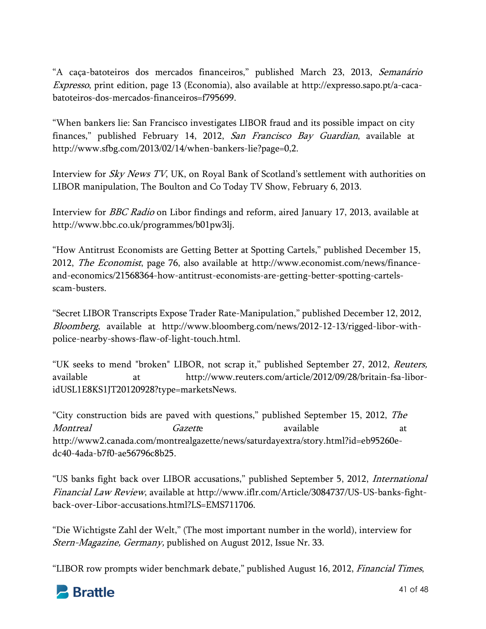"A caça-batoteiros dos mercados financeiros," published March 23, 2013, Semanário Expresso, print edition, page 13 (Economia), also available at http://expresso.sapo.pt/a-cacabatoteiros-dos-mercados-financeiros=f795699.

"When bankers lie: San Francisco investigates LIBOR fraud and its possible impact on city finances," published February 14, 2012, San Francisco Bay Guardian, available at http://www.sfbg.com/2013/02/14/when-bankers-lie?page=0,2.

Interview for Sky News TV, UK, on Royal Bank of Scotland's settlement with authorities on LIBOR manipulation, The Boulton and Co Today TV Show, February 6, 2013.

Interview for BBC Radio on Libor findings and reform, aired January 17, 2013, available at http://www.bbc.co.uk/programmes/b01pw3lj.

"How Antitrust Economists are Getting Better at Spotting Cartels," published December 15, 2012, The Economist, page 76, also available at http://www.economist.com/news/financeand-economics/21568364-how-antitrust-economists-are-getting-better-spotting-cartelsscam-busters.

"Secret LIBOR Transcripts Expose Trader Rate-Manipulation," published December 12, 2012, Bloomberg, available at http://www.bloomberg.com/news/2012-12-13/rigged-libor-withpolice-nearby-shows-flaw-of-light-touch.html.

"UK seeks to mend "broken" LIBOR, not scrap it," published September 27, 2012, *Reuters*, available at http://www.reuters.com/article/2012/09/28/britain-fsa-liboridUSL1E8KS1JT20120928?type=marketsNews.

"City construction bids are paved with questions," published September 15, 2012, The Montreal Gazette available available at http://www2.canada.com/montrealgazette/news/saturdayextra/story.html?id=eb95260edc40-4ada-b7f0-ae56796c8b25.

"US banks fight back over LIBOR accusations," published September 5, 2012, *International* Financial Law Review, available at http://www.iflr.com/Article/3084737/US-US-banks-fightback-over-Libor-accusations.html?LS=EMS711706.

"Die Wichtigste Zahl der Welt," (The most important number in the world), interview for Stern-Magazine, Germany, published on August 2012, Issue Nr. 33.

"LIBOR row prompts wider benchmark debate," published August 16, 2012, *Financial Times*,

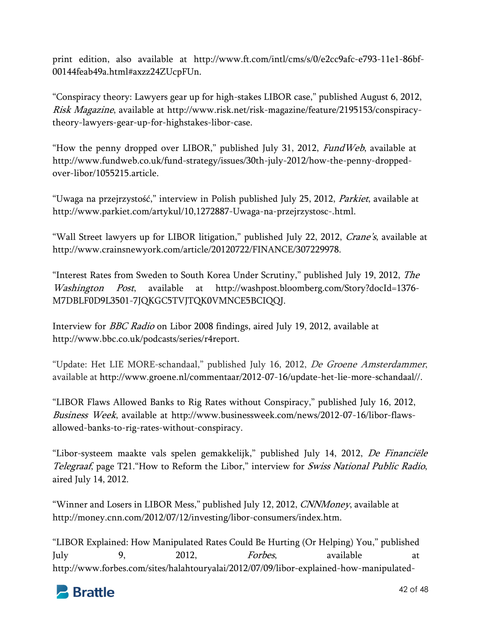print edition, also available at http://www.ft.com/intl/cms/s/0/e2cc9afc-e793-11e1-86bf-00144feab49a.html#axzz24ZUcpFUn.

"Conspiracy theory: Lawyers gear up for high-stakes LIBOR case," published August 6, 2012, Risk Magazine, available at http://www.risk.net/risk-magazine/feature/2195153/conspiracytheory-lawyers-gear-up-for-highstakes-libor-case.

"How the penny dropped over LIBOR," published July 31, 2012, *FundWeb*, available at http://www.fundweb.co.uk/fund-strategy/issues/30th-july-2012/how-the-penny-droppedover-libor/1055215.article.

"Uwaga na przejrzystość," interview in Polish published July 25, 2012, Parkiet, available at http://www.parkiet.com/artykul/10,1272887-Uwaga-na-przejrzystosc-.html.

"Wall Street lawyers up for LIBOR litigation," published July 22, 2012, *Crane's*, available at http://www.crainsnewyork.com/article/20120722/FINANCE/307229978.

"Interest Rates from Sweden to South Korea Under Scrutiny," published July 19, 2012, The Washington Post, available at http://washpost.bloomberg.com/Story?docId=1376-M7DBLF0D9L3501-7JQKGC5TVJTQK0VMNCE5BCIQQJ.

Interview for BBC Radio on Libor 2008 findings, aired July 19, 2012, available at http://www.bbc.co.uk/podcasts/series/r4report.

"Update: Het LIE MORE-schandaal," published July 16, 2012, De Groene Amsterdammer, available at http://www.groene.nl/commentaar/2012-07-16/update-het-lie-more-schandaal//.

"LIBOR Flaws Allowed Banks to Rig Rates without Conspiracy," published July 16, 2012, Business Week, available at http://www.businessweek.com/news/2012-07-16/libor-flawsallowed-banks-to-rig-rates-without-conspiracy.

"Libor-systeem maakte vals spelen gemakkelijk," published July 14, 2012, De Financiële Telegraaf, page T21. "How to Reform the Libor," interview for Swiss National Public Radio, aired July 14, 2012.

"Winner and Losers in LIBOR Mess," published July 12, 2012, *CNNMoney*, available at http://money.cnn.com/2012/07/12/investing/libor-consumers/index.htm.

"LIBOR Explained: How Manipulated Rates Could Be Hurting (Or Helping) You," published July 9, 2012, *Forbes*, available at http://www.forbes.com/sites/halahtouryalai/2012/07/09/libor-explained-how-manipulated-

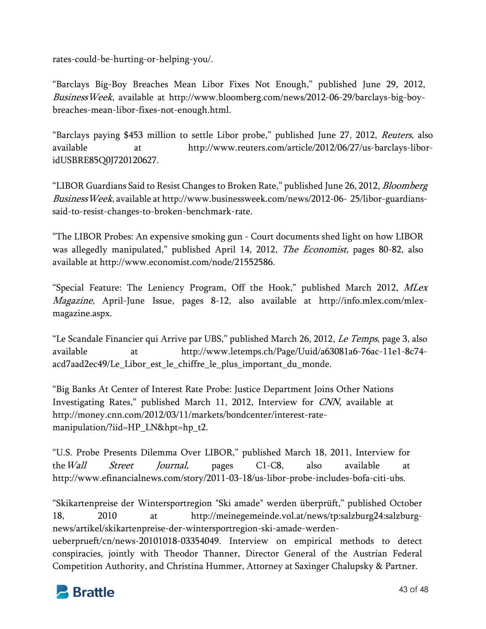rates-could-be-hurting-or-helping-you/.

"Barclays Big-Boy Breaches Mean Libor Fixes Not Enough," published June 29, 2012, BusinessWeek, available at http://www.bloomberg.com/news/2012-06-29/barclays-big-boybreaches-mean-libor-fixes-not-enough.html.

"Barclays paying \$453 million to settle Libor probe," published June 27, 2012, Reuters, also available at http://www.reuters.com/article/2012/06/27/us-barclays-liboridUSBRE85Q0J720120627.

"LIBOR Guardians Said to Resist Changes to Broken Rate," published June 26, 2012, *Bloomberg* BusinessWeek, available at http://www.businessweek.com/news/2012-06- 25/libor-guardianssaid-to-resist-changes-to-broken-benchmark-rate.

"The LIBOR Probes: An expensive smoking gun - Court documents shed light on how LIBOR was allegedly manipulated," published April 14, 2012, *The Economist*, pages 80-82, also available at http://www.economist.com/node/21552586.

"Special Feature: The Leniency Program, Off the Hook," published March 2012, MLex Magazine, April-June Issue, pages 8-12, also available at http://info.mlex.com/mlexmagazine.aspx.

"Le Scandale Financier qui Arrive par UBS," published March 26, 2012, Le Temps, page 3, also available at http://www.letemps.ch/Page/Uuid/a63081a6-76ac-11e1-8c74 acd7aad2ec49/Le\_Libor\_est\_le\_chiffre\_le\_plus\_important\_du\_monde.

"Big Banks At Center of Interest Rate Probe: Justice Department Joins Other Nations Investigating Rates," published March 11, 2012, Interview for CNN, available at http://money.cnn.com/2012/03/11/markets/bondcenter/interest-ratemanipulation/?iid=HP\_LN&hpt=hp\_t2.

"U.S. Probe Presents Dilemma Over LIBOR," published March 18, 2011, Interview for the*Wall Street Journal*, pages C1-C8, also available at http://www.efinancialnews.com/story/2011-03-18/us-libor-probe-includes-bofa-citi-ubs.

"Skikartenpreise der Wintersportregion "Ski amade" werden überprüft," published October 18, 2010 at http://meinegemeinde.vol.at/news/tp:salzburg24:salzburgnews/artikel/skikartenpreise-der-wintersportregion-ski-amade-werdenueberprueft/cn/news-20101018-03354049. Interview on empirical methods to detect conspiracies, jointly with Theodor Thanner, Director General of the Austrian Federal Competition Authority, and Christina Hummer, Attorney at Saxinger Chalupsky & Partner.

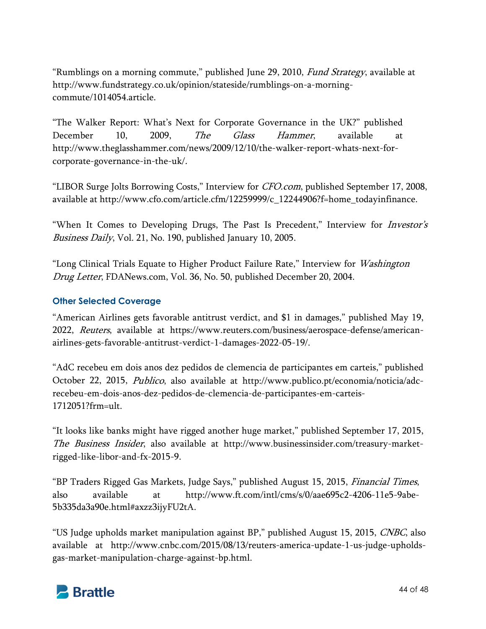"Rumblings on a morning commute," published June 29, 2010, *Fund Strategy*, available at http://www.fundstrategy.co.uk/opinion/stateside/rumblings-on-a-morningcommute/1014054.article.

"The Walker Report: What's Next for Corporate Governance in the UK?" published December 10, 2009, *The Glass Hammer*, available at http://www.theglasshammer.com/news/2009/12/10/the-walker-report-whats-next-forcorporate-governance-in-the-uk/.

"LIBOR Surge Jolts Borrowing Costs," Interview for *CFO.com*, published September 17, 2008, available at http://www.cfo.com/article.cfm/12259999/c\_12244906?f=home\_todayinfinance.

"When It Comes to Developing Drugs, The Past Is Precedent," Interview for *Investor's* Business Daily, Vol. 21, No. 190, published January 10, 2005.

"Long Clinical Trials Equate to Higher Product Failure Rate," Interview for *Washington* Drug Letter, FDANews.com, Vol. 36, No. 50, published December 20, 2004.

# **Other Selected Coverage**

"American Airlines gets favorable antitrust verdict, and \$1 in damages," published May 19, 2022, Reuters, available at https://www.reuters.com/business/aerospace-defense/americanairlines-gets-favorable-antitrust-verdict-1-damages-2022-05-19/.

"AdC recebeu em dois anos dez pedidos de clemencia de participantes em carteis," published October 22, 2015, Publico, also available at http://www.publico.pt/economia/noticia/adcrecebeu-em-dois-anos-dez-pedidos-de-clemencia-de-participantes-em-carteis-1712051?frm=ult.

"It looks like banks might have rigged another huge market," published September 17, 2015, The Business Insider, also available at http://www.businessinsider.com/treasury-marketrigged-like-libor-and-fx-2015-9.

"BP Traders Rigged Gas Markets, Judge Says," published August 15, 2015, Financial Times, also available at http://www.ft.com/intl/cms/s/0/aae695c2-4206-11e5-9abe-5b335da3a90e.html#axzz3ijyFU2tA.

"US Judge upholds market manipulation against BP," published August 15, 2015, CNBC, also available at http://www.cnbc.com/2015/08/13/reuters-america-update-1-us-judge-upholdsgas-market-manipulation-charge-against-bp.html.

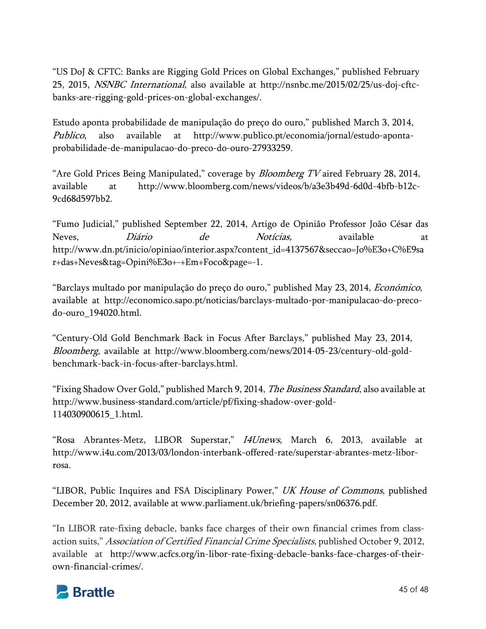"US DoJ & CFTC: Banks are Rigging Gold Prices on Global Exchanges," published February 25, 2015, NSNBC International, also available at http://nsnbc.me/2015/02/25/us-doj-cftcbanks-are-rigging-gold-prices-on-global-exchanges/.

Estudo aponta probabilidade de manipulação do preço do ouro," published March 3, 2014, Publico, also available at http://www.publico.pt/economia/jornal/estudo-apontaprobabilidade-de-manipulacao-do-preco-do-ouro-27933259.

"Are Gold Prices Being Manipulated," coverage by *Bloomberg TV* aired February 28, 2014, available at http://www.bloomberg.com/news/videos/b/a3e3b49d-6d0d-4bfb-b12c-9cd68d597bb2.

"Fumo Judicial," published September 22, 2014, Artigo de Opinião Professor João César das Neves, Diário de Notícias, available at http://www.dn.pt/inicio/opiniao/interior.aspx?content\_id=4137567&seccao=Jo%E3o+C%E9sa r+das+Neves&tag=Opini%E3o+-+Em+Foco&page=-1.

"Barclays multado por manipulação do preço do ouro," published May 23, 2014, Económico, available at http://economico.sapo.pt/noticias/barclays-multado-por-manipulacao-do-precodo-ouro\_194020.html.

"Century-Old Gold Benchmark Back in Focus After Barclays," published May 23, 2014, Bloomberg, available at http://www.bloomberg.com/news/2014-05-23/century-old-goldbenchmark-back-in-focus-after-barclays.html.

"Fixing Shadow Over Gold," published March 9, 2014, *The Business Standard*, also available at http://www.business-standard.com/article/pf/fixing-shadow-over-gold-114030900615\_1.html.

"Rosa Abrantes-Metz, LIBOR Superstar," *I4Unews*, March 6, 2013, available at http://www.i4u.com/2013/03/london-interbank-offered-rate/superstar-abrantes-metz-liborrosa.

"LIBOR, Public Inquires and FSA Disciplinary Power," UK House of Commons, published December 20, 2012, available at www.parliament.uk/briefing-papers/sn06376.pdf.

"In LIBOR rate-fixing debacle, banks face charges of their own financial crimes from classaction suits," Association of Certified Financial Crime Specialists, published October 9, 2012, available at http://www.acfcs.org/in-libor-rate-fixing-debacle-banks-face-charges-of-theirown-financial-crimes/.

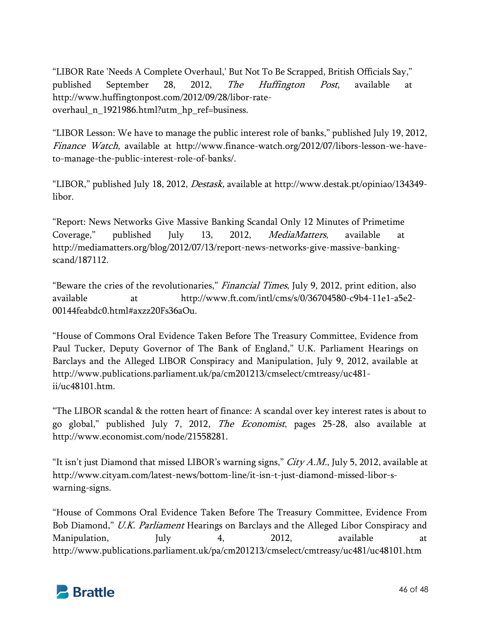"LIBOR Rate 'Needs A Complete Overhaul,' But Not To Be Scrapped, British Officials Say," published September 28, 2012, The Huffington Post, available at http://www.huffingtonpost.com/2012/09/28/libor-rateoverhaul\_n\_1921986.html?utm\_hp\_ref=business.

"LIBOR Lesson: We have to manage the public interest role of banks," published July 19, 2012, Finance Watch, available at http://www.finance-watch.org/2012/07/libors-lesson-we-haveto-manage-the-public-interest-role-of-banks/.

"LIBOR," published July 18, 2012, Destask, available at http://www.destak.pt/opiniao/134349 libor.

"Report: News Networks Give Massive Banking Scandal Only 12 Minutes of Primetime Coverage," published July 13, 2012, *MediaMatters*, available at http://mediamatters.org/blog/2012/07/13/report-news-networks-give-massive-bankingscand/187112.

"Beware the cries of the revolutionaries," *Financial Times*, July 9, 2012, print edition, also available at http://www.ft.com/intl/cms/s/0/36704580-c9b4-11e1-a5e2- 00144feabdc0.html#axzz20Fs36aOu.

"House of Commons Oral Evidence Taken Before The Treasury Committee, Evidence from Paul Tucker, Deputy Governor of The Bank of England," U.K. Parliament Hearings on Barclays and the Alleged LIBOR Conspiracy and Manipulation, July 9, 2012, available at http://www.publications.parliament.uk/pa/cm201213/cmselect/cmtreasy/uc481  $ii/nc48101$ .htm

"The LIBOR scandal & the rotten heart of finance: A scandal over key interest rates is about to go global," published July 7, 2012, The Economist, pages 25-28, also available at http://www.economist.com/node/21558281.

"It isn't just Diamond that missed LIBOR's warning signs,"  $City A.M.,$  July 5, 2012, available at http://www.cityam.com/latest-news/bottom-line/it-isn-t-just-diamond-missed-libor-swarning-signs.

"House of Commons Oral Evidence Taken Before The Treasury Committee, Evidence From Bob Diamond," U.K. Parliament Hearings on Barclays and the Alleged Libor Conspiracy and Manipulation, July 4, 2012, available at http://www.publications.parliament.uk/pa/cm201213/cmselect/cmtreasy/uc481/uc48101.htm

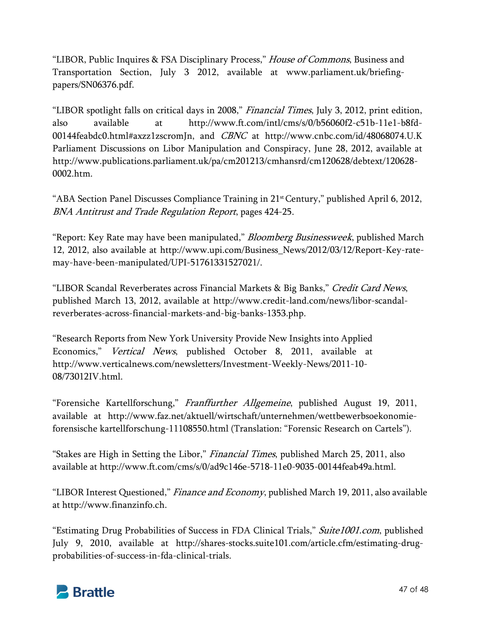"LIBOR, Public Inquires & FSA Disciplinary Process," House of Commons, Business and Transportation Section, July 3 2012, available at www.parliament.uk/briefingpapers/SN06376.pdf.

"LIBOR spotlight falls on critical days in 2008," Financial Times, July 3, 2012, print edition, also available at http://www.ft.com/intl/cms/s/0/b56060f2-c51b-11e1-b8fd-00144feabdc0.html#axzz1zscromJn, and CBNC at http://www.cnbc.com/id/48068074.U.K Parliament Discussions on Libor Manipulation and Conspiracy, June 28, 2012, available at http://www.publications.parliament.uk/pa/cm201213/cmhansrd/cm120628/debtext/120628- 0002.htm.

"ABA Section Panel Discusses Compliance Training in 21st Century," published April 6, 2012, BNA Antitrust and Trade Regulation Report, pages 424-25.

"Report: Key Rate may have been manipulated," *Bloomberg Businessweek*, published March 12, 2012, also available at http://www.upi.com/Business\_News/2012/03/12/Report-Key-ratemay-have-been-manipulated/UPI-51761331527021/.

"LIBOR Scandal Reverberates across Financial Markets & Big Banks," Credit Card News, published March 13, 2012, available at http://www.credit-land.com/news/libor-scandalreverberates-across-financial-markets-and-big-banks-1353.php.

"Research Reports from New York University Provide New Insights into Applied Economics," Vertical News, published October 8, 2011, available at http://www.verticalnews.com/newsletters/Investment-Weekly-News/2011-10- 08/73012IV.html.

"Forensiche Kartellforschung," Franffurther Allgemeine, published August 19, 2011, available at http://www.faz.net/aktuell/wirtschaft/unternehmen/wettbewerbsoekonomieforensische kartellforschung-11108550.html (Translation: "Forensic Research on Cartels").

"Stakes are High in Setting the Libor," Financial Times, published March 25, 2011, also available at http://www.ft.com/cms/s/0/ad9c146e-5718-11e0-9035-00144feab49a.html.

"LIBOR Interest Questioned," Finance and Economy, published March 19, 2011, also available at http://www.finanzinfo.ch.

"Estimating Drug Probabilities of Success in FDA Clinical Trials," Suite1001.com, published July 9, 2010, available at http://shares-stocks.suite101.com/article.cfm/estimating-drugprobabilities-of-success-in-fda-clinical-trials.